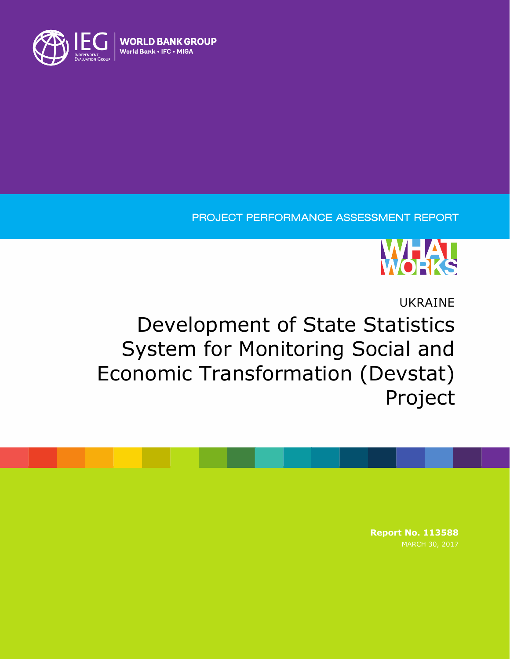

### PROJECT PERFORMANCE ASSESSMENT REPORT



# UKRAINE Development of State Statistics System for Monitoring Social and Economic Transformation (Devstat) Project

**Report No. 113588**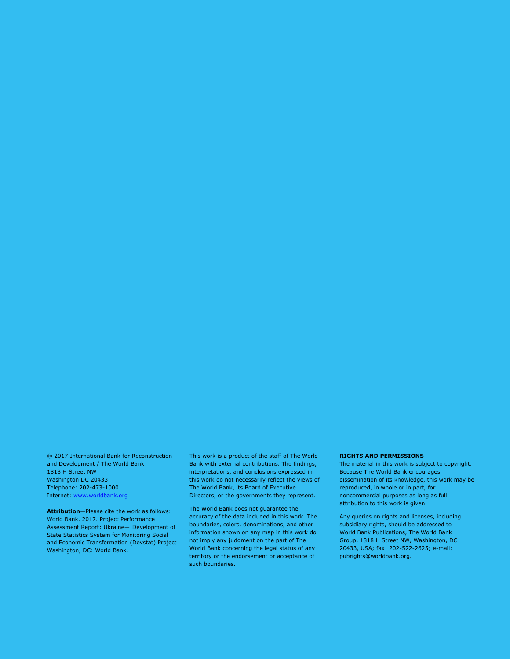© 2017 International Bank for Reconstruction and Development / The World Bank 1818 H Street NW Washington DC 20433 Telephone: 202-473-1000 Internet: [www.worldbank.org](http://www.worldbank.org/)

**Attribution**—Please cite the work as follows: World Bank. 2017. Project Performance Assessment Report: Ukraine— Development of State Statistics System for Monitoring Social and Economic Transformation (Devstat) Project Washington, DC: World Bank.

This work is a product of the staff of The World Bank with external contributions. The findings, interpretations, and conclusions expressed in this work do not necessarily reflect the views of The World Bank, its Board of Executive Directors, or the governments they represent.

The World Bank does not guarantee the accuracy of the data included in this work. The boundaries, colors, denominations, and other information shown on any map in this work do not imply any judgment on the part of The World Bank concerning the legal status of any territory or the endorsement or acceptance of such boundaries.

#### **RIGHTS AND PERMISSIONS**

The material in this work is subject to copyright. Because The World Bank encourages dissemination of its knowledge, this work may be reproduced, in whole or in part, for noncommercial purposes as long as full attribution to this work is given.

Any queries on rights and licenses, including subsidiary rights, should be addressed to World Bank Publications, The World Bank Group, 1818 H Street NW, Washington, DC 20433, USA; fax: 202-522-2625; e-mail: pubrights@worldbank.org.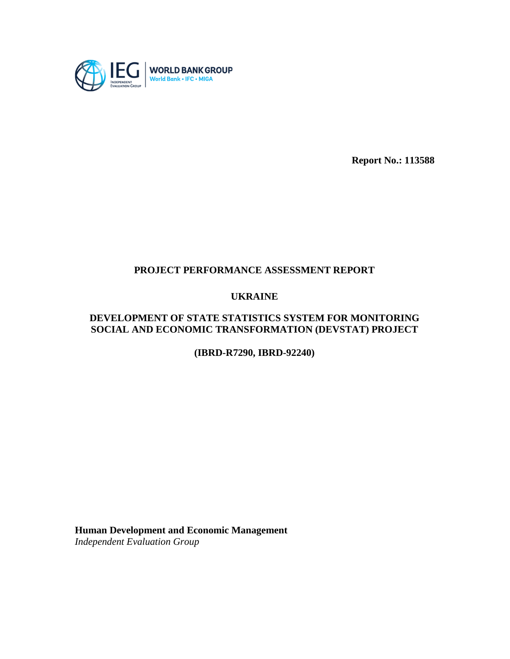

**Report No.: 113588**

### **PROJECT PERFORMANCE ASSESSMENT REPORT**

#### **UKRAINE**

#### **DEVELOPMENT OF STATE STATISTICS SYSTEM FOR MONITORING SOCIAL AND ECONOMIC TRANSFORMATION (DEVSTAT) PROJECT**

**(IBRD-R7290, IBRD-92240)**

**Human Development and Economic Management** *Independent Evaluation Group*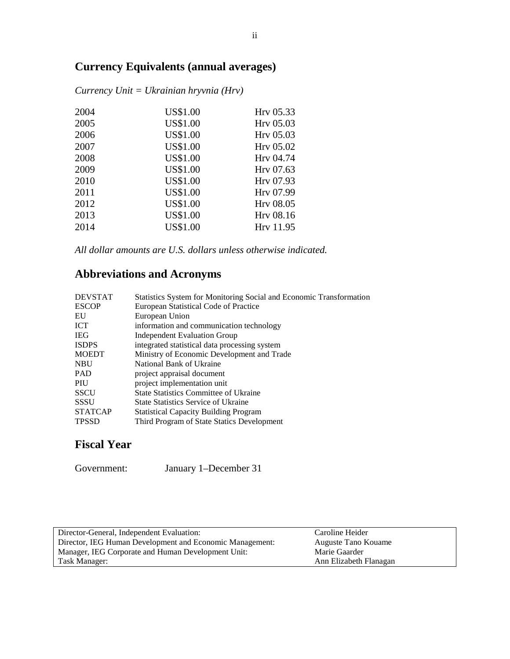## **Currency Equivalents (annual averages)**

| 2004 | US\$1.00        | Hrv 05.33 |
|------|-----------------|-----------|
| 2005 | <b>US\$1.00</b> | Hrv 05.03 |
| 2006 | <b>US\$1.00</b> | Hrv 05.03 |
| 2007 | <b>US\$1.00</b> | Hrv 05.02 |
| 2008 | <b>US\$1.00</b> | Hrv 04.74 |
| 2009 | <b>US\$1.00</b> | Hrv 07.63 |
| 2010 | <b>US\$1.00</b> | Hrv 07.93 |
| 2011 | <b>US\$1.00</b> | Hry 07.99 |
| 2012 | <b>US\$1.00</b> | Hrv 08.05 |
| 2013 | <b>US\$1.00</b> | Hrv 08.16 |
| 2014 | <b>US\$1.00</b> | Hrv 11.95 |
|      |                 |           |

*Currency Unit = Ukrainian hryvnia (Hrv)*

*All dollar amounts are U.S. dollars unless otherwise indicated.*

### **Abbreviations and Acronyms**

| <b>DEVSTAT</b> | Statistics System for Monitoring Social and Economic Transformation |
|----------------|---------------------------------------------------------------------|
| <b>ESCOP</b>   | European Statistical Code of Practice                               |
| EU             | European Union                                                      |
| <b>ICT</b>     | information and communication technology                            |
| <b>IEG</b>     | Independent Evaluation Group                                        |
| <b>ISDPS</b>   | integrated statistical data processing system                       |
| <b>MOEDT</b>   | Ministry of Economic Development and Trade                          |
| <b>NBU</b>     | National Bank of Ukraine                                            |
| <b>PAD</b>     | project appraisal document                                          |
| PIU            | project implementation unit                                         |
| <b>SSCU</b>    | State Statistics Committee of Ukraine                               |
| <b>SSSU</b>    | <b>State Statistics Service of Ukraine</b>                          |
| <b>STATCAP</b> | <b>Statistical Capacity Building Program</b>                        |
| <b>TPSSD</b>   | Third Program of State Statics Development                          |
|                |                                                                     |

### **Fiscal Year**

Government: January 1–December 31

| Director-General, Independent Evaluation:                | Caroline Heider        |
|----------------------------------------------------------|------------------------|
| Director, IEG Human Development and Economic Management: | Auguste Tano Kouame    |
| Manager, IEG Corporate and Human Development Unit:       | Marie Gaarder          |
| Task Manager:                                            | Ann Elizabeth Flanagan |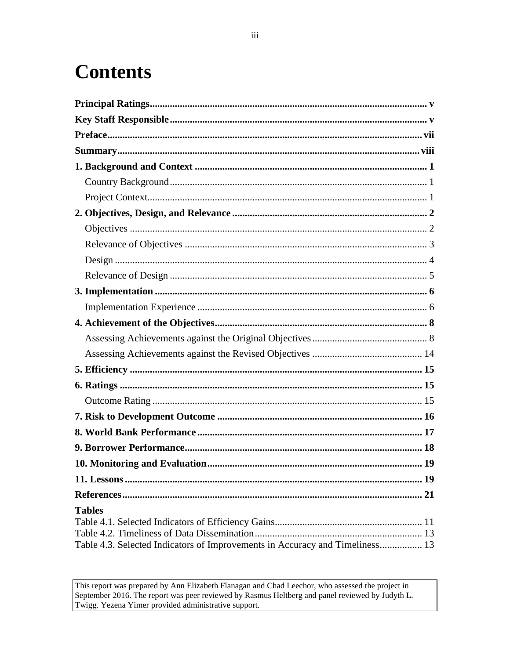# **Contents**

| <b>Tables</b>                                                                |  |
|------------------------------------------------------------------------------|--|
|                                                                              |  |
|                                                                              |  |
| Table 4.3. Selected Indicators of Improvements in Accuracy and Timeliness 13 |  |

This report was prepared by Ann Elizabeth Flanagan and Chad Leechor, who assessed the project in September 2016. The report was peer reviewed by Rasmus Heltberg and panel reviewed by Judyth L. Twigg. Yezena Yimer provided administrative support.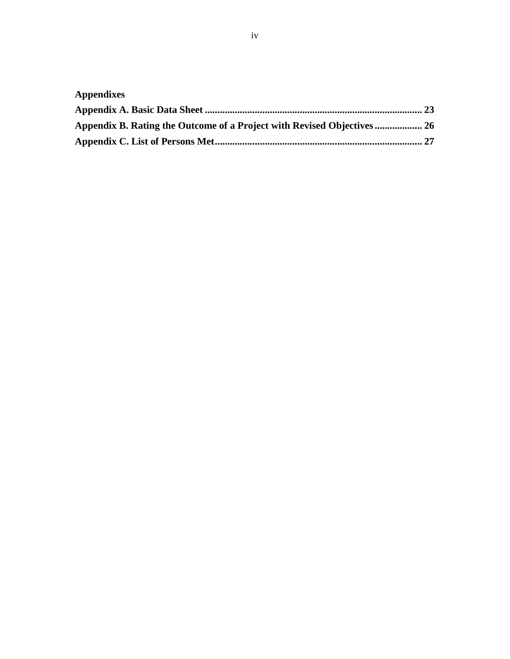| <b>Appendixes</b>                                                   |  |
|---------------------------------------------------------------------|--|
|                                                                     |  |
| Appendix B. Rating the Outcome of a Project with Revised Objectives |  |
|                                                                     |  |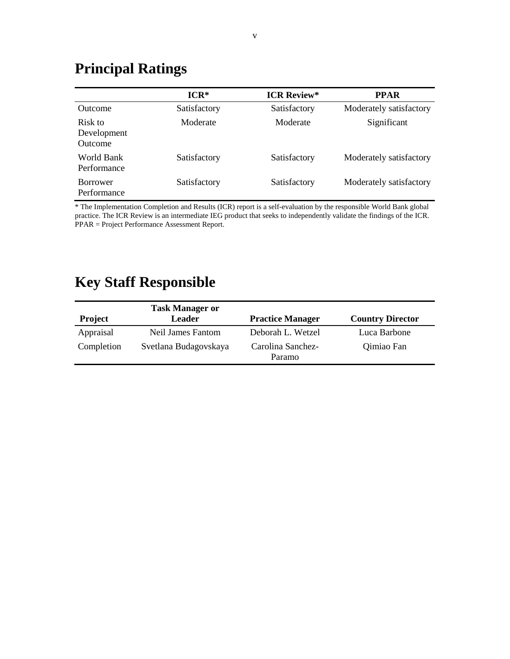## <span id="page-6-0"></span>**Principal Ratings**

|                                   | $ICR*$       | <b>ICR Review*</b> | <b>PPAR</b>             |
|-----------------------------------|--------------|--------------------|-------------------------|
| <b>Outcome</b>                    | Satisfactory | Satisfactory       | Moderately satisfactory |
| Risk to<br>Development<br>Outcome | Moderate     | Moderate           | Significant             |
| World Bank<br>Performance         | Satisfactory | Satisfactory       | Moderately satisfactory |
| <b>Borrower</b><br>Performance    | Satisfactory | Satisfactory       | Moderately satisfactory |

\* The Implementation Completion and Results (ICR) report is a self-evaluation by the responsible World Bank global practice. The ICR Review is an intermediate IEG product that seeks to independently validate the findings of the ICR. PPAR = Project Performance Assessment Report.

## <span id="page-6-1"></span>**Key Staff Responsible**

|                | <b>Task Manager or</b> |                             |                         |
|----------------|------------------------|-----------------------------|-------------------------|
| <b>Project</b> | Leader                 | <b>Practice Manager</b>     | <b>Country Director</b> |
| Appraisal      | Neil James Fantom      | Deborah L. Wetzel           | Luca Barbone            |
| Completion     | Svetlana Budagovskaya  | Carolina Sanchez-<br>Paramo | Qimiao Fan              |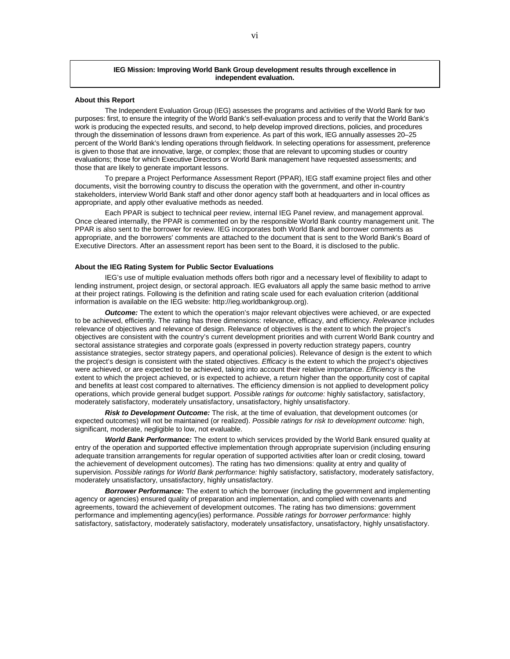#### **IEG Mission: Improving World Bank Group development results through excellence in independent evaluation.**

#### **About this Report**

The Independent Evaluation Group (IEG) assesses the programs and activities of the World Bank for two purposes: first, to ensure the integrity of the World Bank's self-evaluation process and to verify that the World Bank's work is producing the expected results, and second, to help develop improved directions, policies, and procedures through the dissemination of lessons drawn from experience. As part of this work, IEG annually assesses 20–25 percent of the World Bank's lending operations through fieldwork. In selecting operations for assessment, preference is given to those that are innovative, large, or complex; those that are relevant to upcoming studies or country evaluations; those for which Executive Directors or World Bank management have requested assessments; and those that are likely to generate important lessons.

To prepare a Project Performance Assessment Report (PPAR), IEG staff examine project files and other documents, visit the borrowing country to discuss the operation with the government, and other in-country stakeholders, interview World Bank staff and other donor agency staff both at headquarters and in local offices as appropriate, and apply other evaluative methods as needed.

Each PPAR is subject to technical peer review, internal IEG Panel review, and management approval. Once cleared internally, the PPAR is commented on by the responsible World Bank country management unit. The PPAR is also sent to the borrower for review. IEG incorporates both World Bank and borrower comments as appropriate, and the borrowers' comments are attached to the document that is sent to the World Bank's Board of Executive Directors. After an assessment report has been sent to the Board, it is disclosed to the public.

#### **About the IEG Rating System for Public Sector Evaluations**

IEG's use of multiple evaluation methods offers both rigor and a necessary level of flexibility to adapt to lending instrument, project design, or sectoral approach. IEG evaluators all apply the same basic method to arrive at their project ratings. Following is the definition and rating scale used for each evaluation criterion (additional information is available on the IEG website: http://ieg.worldbankgroup.org).

*Outcome:* The extent to which the operation's major relevant objectives were achieved, or are expected to be achieved, efficiently. The rating has three dimensions: relevance, efficacy, and efficiency. *Relevance* includes relevance of objectives and relevance of design. Relevance of objectives is the extent to which the project's objectives are consistent with the country's current development priorities and with current World Bank country and sectoral assistance strategies and corporate goals (expressed in poverty reduction strategy papers, country assistance strategies, sector strategy papers, and operational policies). Relevance of design is the extent to which the project's design is consistent with the stated objectives. *Efficacy* is the extent to which the project's objectives were achieved, or are expected to be achieved, taking into account their relative importance. *Efficiency* is the extent to which the project achieved, or is expected to achieve, a return higher than the opportunity cost of capital and benefits at least cost compared to alternatives. The efficiency dimension is not applied to development policy operations, which provide general budget support. *Possible ratings for outcome:* highly satisfactory, satisfactory, moderately satisfactory, moderately unsatisfactory, unsatisfactory, highly unsatisfactory.

*Risk to Development Outcome:* The risk, at the time of evaluation, that development outcomes (or expected outcomes) will not be maintained (or realized). *Possible ratings for risk to development outcome:* high, significant, moderate, negligible to low, not evaluable.

*World Bank Performance:* The extent to which services provided by the World Bank ensured quality at entry of the operation and supported effective implementation through appropriate supervision (including ensuring adequate transition arrangements for regular operation of supported activities after loan or credit closing, toward the achievement of development outcomes). The rating has two dimensions: quality at entry and quality of supervision. *Possible ratings for World Bank performance:* highly satisfactory, satisfactory, moderately satisfactory, moderately unsatisfactory, unsatisfactory, highly unsatisfactory.

*Borrower Performance:* The extent to which the borrower (including the government and implementing agency or agencies) ensured quality of preparation and implementation, and complied with covenants and agreements, toward the achievement of development outcomes. The rating has two dimensions: government performance and implementing agency(ies) performance. *Possible ratings for borrower performance:* highly satisfactory, satisfactory, moderately satisfactory, moderately unsatisfactory, unsatisfactory, highly unsatisfactory.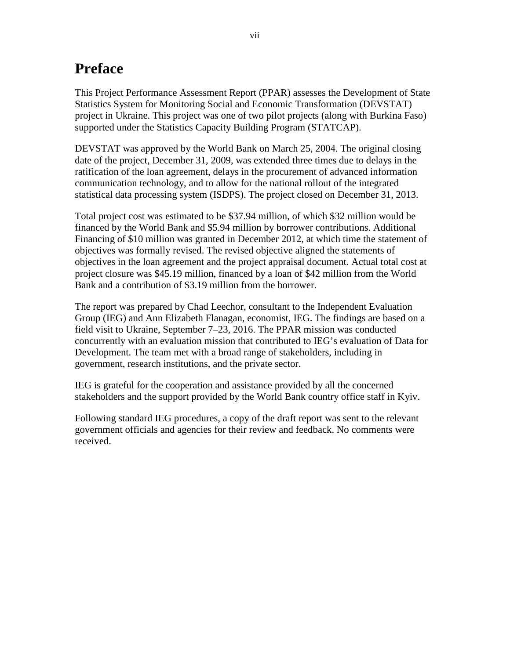## <span id="page-8-0"></span>**Preface**

This Project Performance Assessment Report (PPAR) assesses the Development of State Statistics System for Monitoring Social and Economic Transformation (DEVSTAT) project in Ukraine. This project was one of two pilot projects (along with Burkina Faso) supported under the Statistics Capacity Building Program (STATCAP).

DEVSTAT was approved by the World Bank on March 25, 2004. The original closing date of the project, December 31, 2009, was extended three times due to delays in the ratification of the loan agreement, delays in the procurement of advanced information communication technology, and to allow for the national rollout of the integrated statistical data processing system (ISDPS). The project closed on December 31, 2013.

Total project cost was estimated to be \$37.94 million, of which \$32 million would be financed by the World Bank and \$5.94 million by borrower contributions. Additional Financing of \$10 million was granted in December 2012, at which time the statement of objectives was formally revised. The revised objective aligned the statements of objectives in the loan agreement and the project appraisal document. Actual total cost at project closure was \$45.19 million, financed by a loan of \$42 million from the World Bank and a contribution of \$3.19 million from the borrower.

The report was prepared by Chad Leechor, consultant to the Independent Evaluation Group (IEG) and Ann Elizabeth Flanagan, economist, IEG. The findings are based on a field visit to Ukraine, September 7–23, 2016. The PPAR mission was conducted concurrently with an evaluation mission that contributed to IEG's evaluation of Data for Development. The team met with a broad range of stakeholders, including in government, research institutions, and the private sector.

IEG is grateful for the cooperation and assistance provided by all the concerned stakeholders and the support provided by the World Bank country office staff in Kyiv.

Following standard IEG procedures, a copy of the draft report was sent to the relevant government officials and agencies for their review and feedback. No comments were received.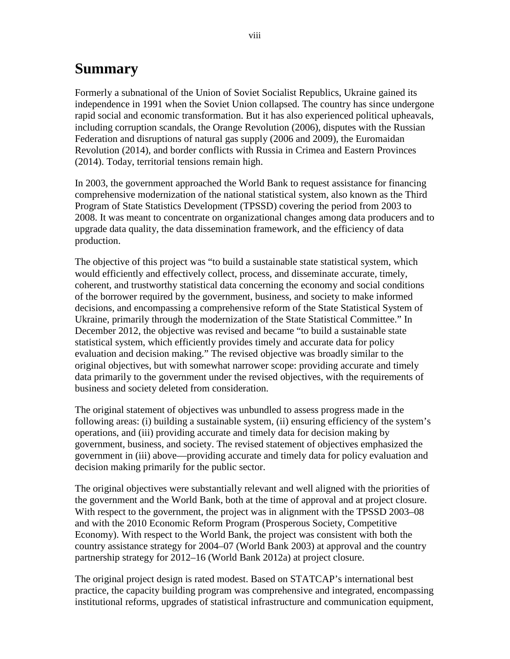## <span id="page-9-0"></span>**Summary**

Formerly a subnational of the Union of Soviet Socialist Republics, Ukraine gained its independence in 1991 when the Soviet Union collapsed. The country has since undergone rapid social and economic transformation. But it has also experienced political upheavals, including corruption scandals, the Orange Revolution (2006), disputes with the Russian Federation and disruptions of natural gas supply (2006 and 2009), the Euromaidan Revolution (2014), and border conflicts with Russia in Crimea and Eastern Provinces (2014). Today, territorial tensions remain high.

In 2003, the government approached the World Bank to request assistance for financing comprehensive modernization of the national statistical system, also known as the Third Program of State Statistics Development (TPSSD) covering the period from 2003 to 2008. It was meant to concentrate on organizational changes among data producers and to upgrade data quality, the data dissemination framework, and the efficiency of data production.

The objective of this project was "to build a sustainable state statistical system, which would efficiently and effectively collect, process, and disseminate accurate, timely, coherent, and trustworthy statistical data concerning the economy and social conditions of the borrower required by the government, business, and society to make informed decisions, and encompassing a comprehensive reform of the State Statistical System of Ukraine, primarily through the modernization of the State Statistical Committee." In December 2012, the objective was revised and became "to build a sustainable state statistical system, which efficiently provides timely and accurate data for policy evaluation and decision making." The revised objective was broadly similar to the original objectives, but with somewhat narrower scope: providing accurate and timely data primarily to the government under the revised objectives, with the requirements of business and society deleted from consideration.

The original statement of objectives was unbundled to assess progress made in the following areas: (i) building a sustainable system, (ii) ensuring efficiency of the system's operations, and (iii) providing accurate and timely data for decision making by government, business, and society. The revised statement of objectives emphasized the government in (iii) above—providing accurate and timely data for policy evaluation and decision making primarily for the public sector.

The original objectives were substantially relevant and well aligned with the priorities of the government and the World Bank, both at the time of approval and at project closure. With respect to the government, the project was in alignment with the TPSSD 2003–08 and with the 2010 Economic Reform Program (Prosperous Society, Competitive Economy). With respect to the World Bank, the project was consistent with both the country assistance strategy for 2004–07 (World Bank 2003) at approval and the country partnership strategy for 2012–16 (World Bank 2012a) at project closure.

The original project design is rated modest. Based on STATCAP's international best practice, the capacity building program was comprehensive and integrated, encompassing institutional reforms, upgrades of statistical infrastructure and communication equipment,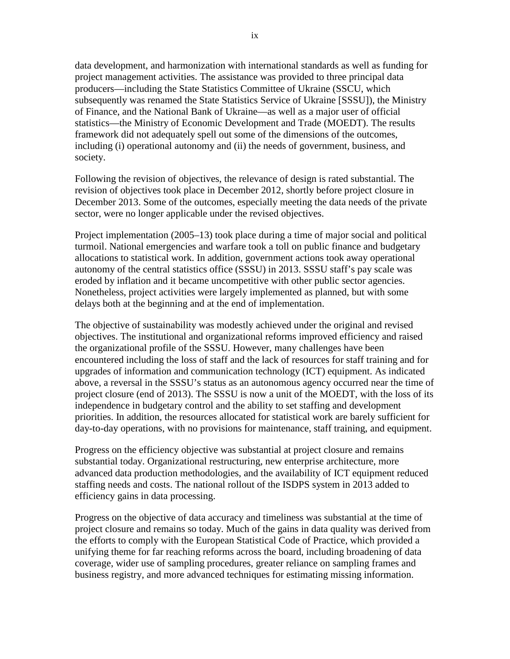data development, and harmonization with international standards as well as funding for project management activities. The assistance was provided to three principal data producers—including the State Statistics Committee of Ukraine (SSCU, which subsequently was renamed the State Statistics Service of Ukraine [SSSU]), the Ministry of Finance, and the National Bank of Ukraine—as well as a major user of official statistics—the Ministry of Economic Development and Trade (MOEDT). The results framework did not adequately spell out some of the dimensions of the outcomes, including (i) operational autonomy and (ii) the needs of government, business, and society.

Following the revision of objectives, the relevance of design is rated substantial. The revision of objectives took place in December 2012, shortly before project closure in December 2013. Some of the outcomes, especially meeting the data needs of the private sector, were no longer applicable under the revised objectives.

Project implementation (2005–13) took place during a time of major social and political turmoil. National emergencies and warfare took a toll on public finance and budgetary allocations to statistical work. In addition, government actions took away operational autonomy of the central statistics office (SSSU) in 2013. SSSU staff's pay scale was eroded by inflation and it became uncompetitive with other public sector agencies. Nonetheless, project activities were largely implemented as planned, but with some delays both at the beginning and at the end of implementation.

The objective of sustainability was modestly achieved under the original and revised objectives. The institutional and organizational reforms improved efficiency and raised the organizational profile of the SSSU. However, many challenges have been encountered including the loss of staff and the lack of resources for staff training and for upgrades of information and communication technology (ICT) equipment. As indicated above, a reversal in the SSSU's status as an autonomous agency occurred near the time of project closure (end of 2013). The SSSU is now a unit of the MOEDT, with the loss of its independence in budgetary control and the ability to set staffing and development priorities. In addition, the resources allocated for statistical work are barely sufficient for day-to-day operations, with no provisions for maintenance, staff training, and equipment.

Progress on the efficiency objective was substantial at project closure and remains substantial today. Organizational restructuring, new enterprise architecture, more advanced data production methodologies, and the availability of ICT equipment reduced staffing needs and costs. The national rollout of the ISDPS system in 2013 added to efficiency gains in data processing.

Progress on the objective of data accuracy and timeliness was substantial at the time of project closure and remains so today. Much of the gains in data quality was derived from the efforts to comply with the European Statistical Code of Practice, which provided a unifying theme for far reaching reforms across the board, including broadening of data coverage, wider use of sampling procedures, greater reliance on sampling frames and business registry, and more advanced techniques for estimating missing information.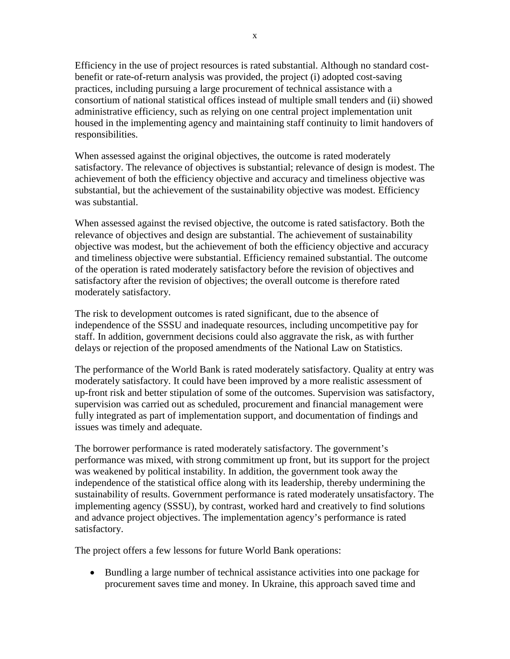Efficiency in the use of project resources is rated substantial. Although no standard costbenefit or rate-of-return analysis was provided, the project (i) adopted cost-saving practices, including pursuing a large procurement of technical assistance with a consortium of national statistical offices instead of multiple small tenders and (ii) showed administrative efficiency, such as relying on one central project implementation unit housed in the implementing agency and maintaining staff continuity to limit handovers of responsibilities.

When assessed against the original objectives, the outcome is rated moderately satisfactory. The relevance of objectives is substantial; relevance of design is modest. The achievement of both the efficiency objective and accuracy and timeliness objective was substantial, but the achievement of the sustainability objective was modest. Efficiency was substantial.

When assessed against the revised objective, the outcome is rated satisfactory. Both the relevance of objectives and design are substantial. The achievement of sustainability objective was modest, but the achievement of both the efficiency objective and accuracy and timeliness objective were substantial. Efficiency remained substantial. The outcome of the operation is rated moderately satisfactory before the revision of objectives and satisfactory after the revision of objectives; the overall outcome is therefore rated moderately satisfactory.

The risk to development outcomes is rated significant, due to the absence of independence of the SSSU and inadequate resources, including uncompetitive pay for staff. In addition, government decisions could also aggravate the risk, as with further delays or rejection of the proposed amendments of the National Law on Statistics.

The performance of the World Bank is rated moderately satisfactory. Quality at entry was moderately satisfactory. It could have been improved by a more realistic assessment of up-front risk and better stipulation of some of the outcomes. Supervision was satisfactory, supervision was carried out as scheduled, procurement and financial management were fully integrated as part of implementation support, and documentation of findings and issues was timely and adequate.

The borrower performance is rated moderately satisfactory. The government's performance was mixed, with strong commitment up front, but its support for the project was weakened by political instability. In addition, the government took away the independence of the statistical office along with its leadership, thereby undermining the sustainability of results. Government performance is rated moderately unsatisfactory. The implementing agency (SSSU), by contrast, worked hard and creatively to find solutions and advance project objectives. The implementation agency's performance is rated satisfactory.

The project offers a few lessons for future World Bank operations:

• Bundling a large number of technical assistance activities into one package for procurement saves time and money. In Ukraine, this approach saved time and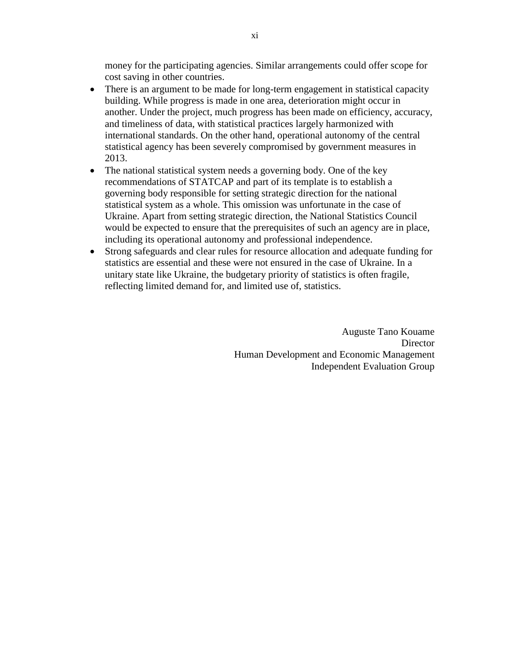money for the participating agencies. Similar arrangements could offer scope for cost saving in other countries.

- There is an argument to be made for long-term engagement in statistical capacity building. While progress is made in one area, deterioration might occur in another. Under the project, much progress has been made on efficiency, accuracy, and timeliness of data, with statistical practices largely harmonized with international standards. On the other hand, operational autonomy of the central statistical agency has been severely compromised by government measures in 2013.
- The national statistical system needs a governing body. One of the key recommendations of STATCAP and part of its template is to establish a governing body responsible for setting strategic direction for the national statistical system as a whole. This omission was unfortunate in the case of Ukraine. Apart from setting strategic direction, the National Statistics Council would be expected to ensure that the prerequisites of such an agency are in place, including its operational autonomy and professional independence.
- Strong safeguards and clear rules for resource allocation and adequate funding for statistics are essential and these were not ensured in the case of Ukraine. In a unitary state like Ukraine, the budgetary priority of statistics is often fragile, reflecting limited demand for, and limited use of, statistics.

Auguste Tano Kouame **Director** Human Development and Economic Management Independent Evaluation Group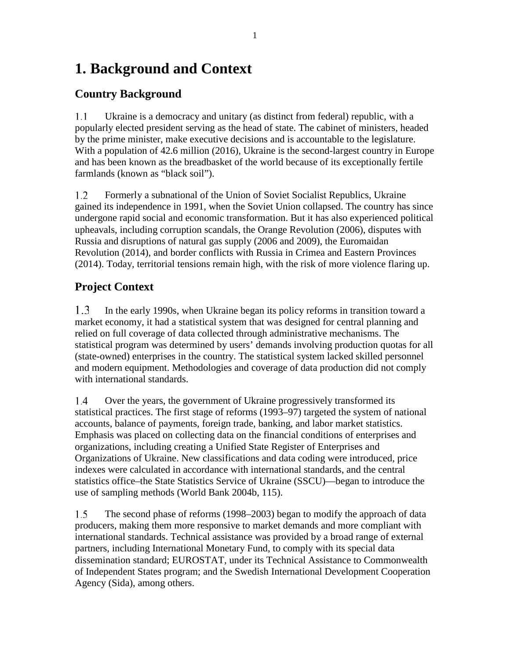## <span id="page-14-0"></span>**1. Background and Context**

### <span id="page-14-1"></span>**Country Background**

 $1.1$ Ukraine is a democracy and unitary (as distinct from federal) republic, with a popularly elected president serving as the head of state. The cabinet of ministers, headed by the prime minister, make executive decisions and is accountable to the legislature. With a population of 42.6 million (2016), Ukraine is the second-largest country in Europe and has been known as the breadbasket of the world because of its exceptionally fertile farmlands (known as "black soil").

1.2 Formerly a subnational of the Union of Soviet Socialist Republics, Ukraine gained its independence in 1991, when the Soviet Union collapsed. The country has since undergone rapid social and economic transformation. But it has also experienced political upheavals, including corruption scandals, the Orange Revolution (2006), disputes with Russia and disruptions of natural gas supply (2006 and 2009), the Euromaidan Revolution (2014), and border conflicts with Russia in Crimea and Eastern Provinces (2014). Today, territorial tensions remain high, with the risk of more violence flaring up.

## <span id="page-14-2"></span>**Project Context**

 $1.3$ In the early 1990s, when Ukraine began its policy reforms in transition toward a market economy, it had a statistical system that was designed for central planning and relied on full coverage of data collected through administrative mechanisms. The statistical program was determined by users' demands involving production quotas for all (state-owned) enterprises in the country. The statistical system lacked skilled personnel and modern equipment. Methodologies and coverage of data production did not comply with international standards.

Over the years, the government of Ukraine progressively transformed its 1.4 statistical practices. The first stage of reforms (1993–97) targeted the system of national accounts, balance of payments, foreign trade, banking, and labor market statistics. Emphasis was placed on collecting data on the financial conditions of enterprises and organizations, including creating a Unified State Register of Enterprises and Organizations of Ukraine. New classifications and data coding were introduced, price indexes were calculated in accordance with international standards, and the central statistics office–the State Statistics Service of Ukraine (SSCU)—began to introduce the use of sampling methods (World Bank 2004b, 115).

 $1.5$ The second phase of reforms (1998–2003) began to modify the approach of data producers, making them more responsive to market demands and more compliant with international standards. Technical assistance was provided by a broad range of external partners, including International Monetary Fund, to comply with its special data dissemination standard; EUROSTAT, under its Technical Assistance to Commonwealth of Independent States program; and the Swedish International Development Cooperation Agency (Sida), among others.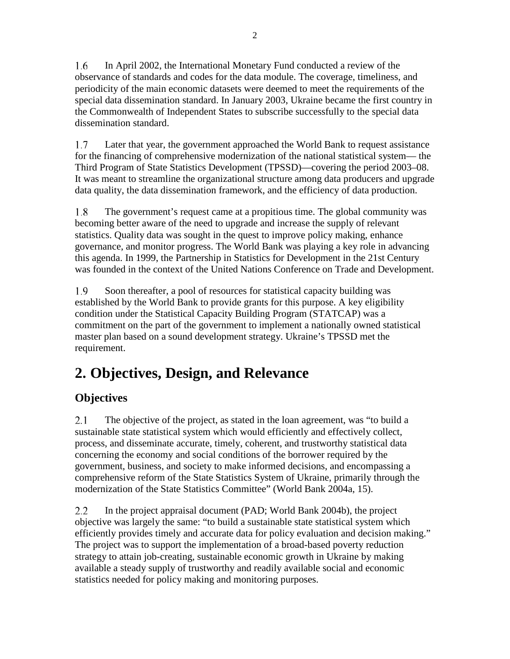In April 2002, the International Monetary Fund conducted a review of the 1.6 observance of standards and codes for the data module. The coverage, timeliness, and periodicity of the main economic datasets were deemed to meet the requirements of the special data dissemination standard. In January 2003, Ukraine became the first country in the Commonwealth of Independent States to subscribe successfully to the special data dissemination standard.

1.7 Later that year, the government approached the World Bank to request assistance for the financing of comprehensive modernization of the national statistical system— the Third Program of State Statistics Development (TPSSD)—covering the period 2003–08. It was meant to streamline the organizational structure among data producers and upgrade data quality, the data dissemination framework, and the efficiency of data production.

1.8 The government's request came at a propitious time. The global community was becoming better aware of the need to upgrade and increase the supply of relevant statistics. Quality data was sought in the quest to improve policy making, enhance governance, and monitor progress. The World Bank was playing a key role in advancing this agenda. In 1999, the Partnership in Statistics for Development in the 21st Century was founded in the context of the United Nations Conference on Trade and Development.

 $1.9$ Soon thereafter, a pool of resources for statistical capacity building was established by the World Bank to provide grants for this purpose. A key eligibility condition under the Statistical Capacity Building Program (STATCAP) was a commitment on the part of the government to implement a nationally owned statistical master plan based on a sound development strategy. Ukraine's TPSSD met the requirement.

## <span id="page-15-0"></span>**2. Objectives, Design, and Relevance**

## <span id="page-15-1"></span>**Objectives**

 $2.1$ The objective of the project, as stated in the loan agreement, was "to build a sustainable state statistical system which would efficiently and effectively collect, process, and disseminate accurate, timely, coherent, and trustworthy statistical data concerning the economy and social conditions of the borrower required by the government, business, and society to make informed decisions, and encompassing a comprehensive reform of the State Statistics System of Ukraine, primarily through the modernization of the State Statistics Committee" (World Bank 2004a, 15).

 $2.2\,$ In the project appraisal document (PAD; World Bank 2004b), the project objective was largely the same: "to build a sustainable state statistical system which efficiently provides timely and accurate data for policy evaluation and decision making." The project was to support the implementation of a broad-based poverty reduction strategy to attain job-creating, sustainable economic growth in Ukraine by making available a steady supply of trustworthy and readily available social and economic statistics needed for policy making and monitoring purposes.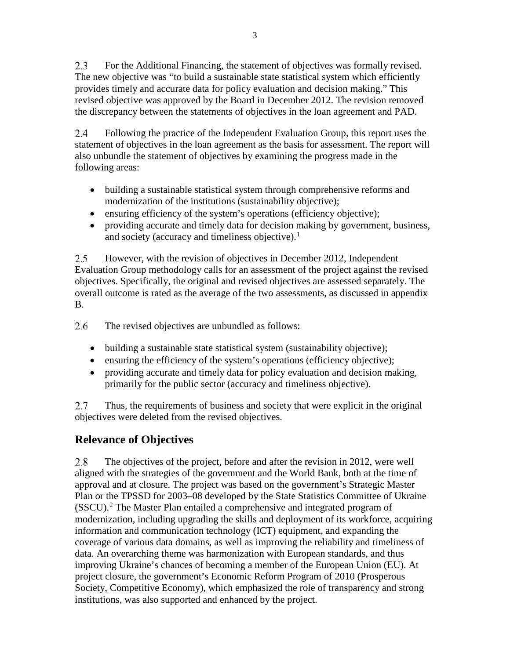$2.3$ For the Additional Financing, the statement of objectives was formally revised. The new objective was "to build a sustainable state statistical system which efficiently provides timely and accurate data for policy evaluation and decision making." This revised objective was approved by the Board in December 2012. The revision removed the discrepancy between the statements of objectives in the loan agreement and PAD.

2.4 Following the practice of the Independent Evaluation Group, this report uses the statement of objectives in the loan agreement as the basis for assessment. The report will also unbundle the statement of objectives by examining the progress made in the following areas:

- building a sustainable statistical system through comprehensive reforms and modernization of the institutions (sustainability objective);
- ensuring efficiency of the system's operations (efficiency objective);
- providing accurate and timely data for decision making by government, business, and society (accuracy and timeliness objective).<sup>[1](#page-34-1)</sup>

 $2.5^{\circ}$ However, with the revision of objectives in December 2012, Independent Evaluation Group methodology calls for an assessment of the project against the revised objectives. Specifically, the original and revised objectives are assessed separately. The overall outcome is rated as the average of the two assessments, as discussed in appendix B.

2.6 The revised objectives are unbundled as follows:

- building a sustainable state statistical system (sustainability objective);
- ensuring the efficiency of the system's operations (efficiency objective);
- providing accurate and timely data for policy evaluation and decision making, primarily for the public sector (accuracy and timeliness objective).

2.7 Thus, the requirements of business and society that were explicit in the original objectives were deleted from the revised objectives.

## <span id="page-16-0"></span>**Relevance of Objectives**

2.8 The objectives of the project, before and after the revision in 2012, were well aligned with the strategies of the government and the World Bank, both at the time of approval and at closure. The project was based on the government's Strategic Master Plan or the TPSSD for 2003–08 developed by the State Statistics Committee of Ukraine  $(SSCU)$ .<sup>[2](#page-34-2)</sup> The Master Plan entailed a comprehensive and integrated program of modernization, including upgrading the skills and deployment of its workforce, acquiring information and communication technology (ICT) equipment, and expanding the coverage of various data domains, as well as improving the reliability and timeliness of data. An overarching theme was harmonization with European standards, and thus improving Ukraine's chances of becoming a member of the European Union (EU). At project closure, the government's Economic Reform Program of 2010 (Prosperous Society, Competitive Economy), which emphasized the role of transparency and strong institutions, was also supported and enhanced by the project.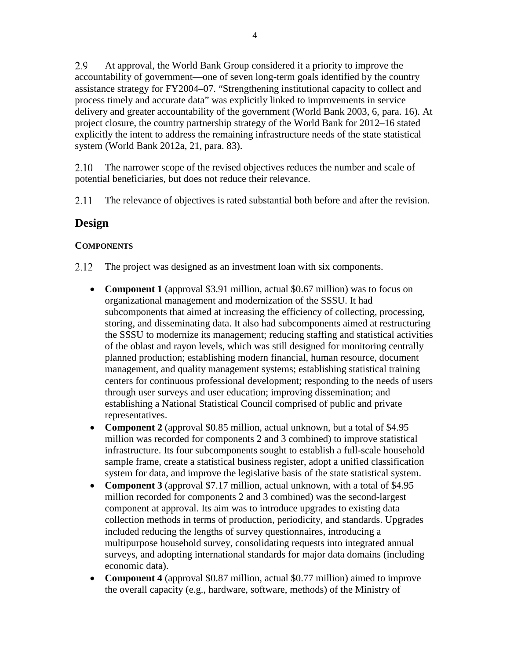2.9 At approval, the World Bank Group considered it a priority to improve the accountability of government—one of seven long-term goals identified by the country assistance strategy for FY2004–07. "Strengthening institutional capacity to collect and process timely and accurate data" was explicitly linked to improvements in service delivery and greater accountability of the government (World Bank 2003, 6, para. 16). At project closure, the country partnership strategy of the World Bank for 2012–16 stated explicitly the intent to address the remaining infrastructure needs of the state statistical system (World Bank 2012a, 21, para. 83).

2.10 The narrower scope of the revised objectives reduces the number and scale of potential beneficiaries, but does not reduce their relevance.

2.11 The relevance of objectives is rated substantial both before and after the revision.

### <span id="page-17-0"></span>**Design**

#### **COMPONENTS**

- $2.12$ The project was designed as an investment loan with six components.
	- **Component 1** (approval \$3.91 million, actual \$0.67 million) was to focus on organizational management and modernization of the SSSU. It had subcomponents that aimed at increasing the efficiency of collecting, processing, storing, and disseminating data. It also had subcomponents aimed at restructuring the SSSU to modernize its management; reducing staffing and statistical activities of the oblast and rayon levels, which was still designed for monitoring centrally planned production; establishing modern financial, human resource, document management, and quality management systems; establishing statistical training centers for continuous professional development; responding to the needs of users through user surveys and user education; improving dissemination; and establishing a National Statistical Council comprised of public and private representatives.
	- **Component 2** (approval \$0.85 million, actual unknown, but a total of \$4.95 million was recorded for components 2 and 3 combined) to improve statistical infrastructure. Its four subcomponents sought to establish a full-scale household sample frame, create a statistical business register, adopt a unified classification system for data, and improve the legislative basis of the state statistical system.
	- **Component 3** (approval \$7.17 million, actual unknown, with a total of \$4.95 million recorded for components 2 and 3 combined) was the second-largest component at approval. Its aim was to introduce upgrades to existing data collection methods in terms of production, periodicity, and standards. Upgrades included reducing the lengths of survey questionnaires, introducing a multipurpose household survey, consolidating requests into integrated annual surveys, and adopting international standards for major data domains (including economic data).
	- **Component 4** (approval \$0.87 million, actual \$0.77 million) aimed to improve the overall capacity (e.g., hardware, software, methods) of the Ministry of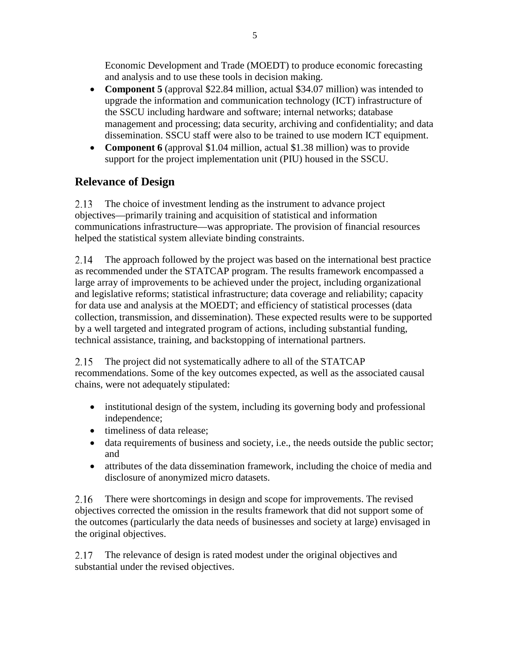Economic Development and Trade (MOEDT) to produce economic forecasting and analysis and to use these tools in decision making.

- **Component 5** (approval \$22.84 million, actual \$34.07 million) was intended to upgrade the information and communication technology (ICT) infrastructure of the SSCU including hardware and software; internal networks; database management and processing; data security, archiving and confidentiality; and data dissemination. SSCU staff were also to be trained to use modern ICT equipment.
- **Component 6** (approval \$1.04 million, actual \$1.38 million) was to provide support for the project implementation unit (PIU) housed in the SSCU.

## <span id="page-18-0"></span>**Relevance of Design**

2.13 The choice of investment lending as the instrument to advance project objectives—primarily training and acquisition of statistical and information communications infrastructure—was appropriate. The provision of financial resources helped the statistical system alleviate binding constraints.

2.14 The approach followed by the project was based on the international best practice as recommended under the STATCAP program. The results framework encompassed a large array of improvements to be achieved under the project, including organizational and legislative reforms; statistical infrastructure; data coverage and reliability; capacity for data use and analysis at the MOEDT; and efficiency of statistical processes (data collection, transmission, and dissemination). These expected results were to be supported by a well targeted and integrated program of actions, including substantial funding, technical assistance, training, and backstopping of international partners.

2.15 The project did not systematically adhere to all of the STATCAP recommendations. Some of the key outcomes expected, as well as the associated causal chains, were not adequately stipulated:

- institutional design of the system, including its governing body and professional independence;
- timeliness of data release;
- data requirements of business and society, i.e., the needs outside the public sector; and
- attributes of the data dissemination framework, including the choice of media and disclosure of anonymized micro datasets.

2.16 There were shortcomings in design and scope for improvements. The revised objectives corrected the omission in the results framework that did not support some of the outcomes (particularly the data needs of businesses and society at large) envisaged in the original objectives.

2.17 The relevance of design is rated modest under the original objectives and substantial under the revised objectives.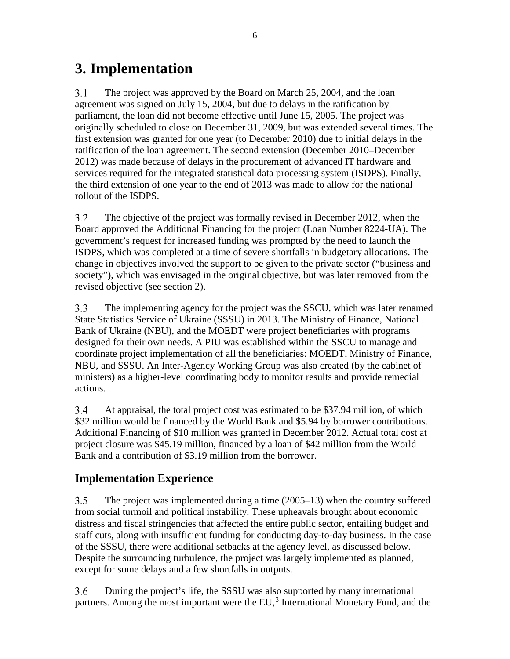## <span id="page-19-0"></span>**3. Implementation**

 $3.1$ The project was approved by the Board on March 25, 2004, and the loan agreement was signed on July 15, 2004, but due to delays in the ratification by parliament, the loan did not become effective until June 15, 2005. The project was originally scheduled to close on December 31, 2009, but was extended several times. The first extension was granted for one year (to December 2010) due to initial delays in the ratification of the loan agreement. The second extension (December 2010–December 2012) was made because of delays in the procurement of advanced IT hardware and services required for the integrated statistical data processing system (ISDPS). Finally, the third extension of one year to the end of 2013 was made to allow for the national rollout of the ISDPS.

 $3.2$ The objective of the project was formally revised in December 2012, when the Board approved the Additional Financing for the project (Loan Number 8224-UA). The government's request for increased funding was prompted by the need to launch the ISDPS, which was completed at a time of severe shortfalls in budgetary allocations. The change in objectives involved the support to be given to the private sector ("business and society"), which was envisaged in the original objective, but was later removed from the revised objective (see section 2).

 $3.3$ The implementing agency for the project was the SSCU, which was later renamed State Statistics Service of Ukraine (SSSU) in 2013. The Ministry of Finance, National Bank of Ukraine (NBU), and the MOEDT were project beneficiaries with programs designed for their own needs. A PIU was established within the SSCU to manage and coordinate project implementation of all the beneficiaries: MOEDT, Ministry of Finance, NBU, and SSSU. An Inter-Agency Working Group was also created (by the cabinet of ministers) as a higher-level coordinating body to monitor results and provide remedial actions.

 $3.4$ At appraisal, the total project cost was estimated to be \$37.94 million, of which \$32 million would be financed by the World Bank and \$5.94 by borrower contributions. Additional Financing of \$10 million was granted in December 2012. Actual total cost at project closure was \$45.19 million, financed by a loan of \$42 million from the World Bank and a contribution of \$3.19 million from the borrower.

### <span id="page-19-1"></span>**Implementation Experience**

 $3.5$ The project was implemented during a time (2005–13) when the country suffered from social turmoil and political instability. These upheavals brought about economic distress and fiscal stringencies that affected the entire public sector, entailing budget and staff cuts, along with insufficient funding for conducting day-to-day business. In the case of the SSSU, there were additional setbacks at the agency level, as discussed below. Despite the surrounding turbulence, the project was largely implemented as planned, except for some delays and a few shortfalls in outputs.

3.6 During the project's life, the SSSU was also supported by many international partners. Among the most important were the EU,<sup>[3](#page-34-3)</sup> International Monetary Fund, and the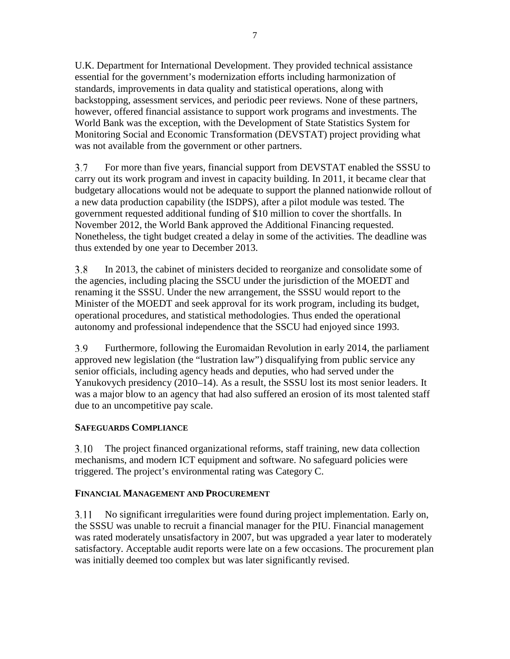U.K. Department for International Development. They provided technical assistance essential for the government's modernization efforts including harmonization of standards, improvements in data quality and statistical operations, along with backstopping, assessment services, and periodic peer reviews. None of these partners, however, offered financial assistance to support work programs and investments. The World Bank was the exception, with the Development of State Statistics System for Monitoring Social and Economic Transformation (DEVSTAT) project providing what was not available from the government or other partners.

3.7 For more than five years, financial support from DEVSTAT enabled the SSSU to carry out its work program and invest in capacity building. In 2011, it became clear that budgetary allocations would not be adequate to support the planned nationwide rollout of a new data production capability (the ISDPS), after a pilot module was tested. The government requested additional funding of \$10 million to cover the shortfalls. In November 2012, the World Bank approved the Additional Financing requested. Nonetheless, the tight budget created a delay in some of the activities. The deadline was thus extended by one year to December 2013.

3.8 In 2013, the cabinet of ministers decided to reorganize and consolidate some of the agencies, including placing the SSCU under the jurisdiction of the MOEDT and renaming it the SSSU. Under the new arrangement, the SSSU would report to the Minister of the MOEDT and seek approval for its work program, including its budget, operational procedures, and statistical methodologies. Thus ended the operational autonomy and professional independence that the SSCU had enjoyed since 1993.

3.9 Furthermore, following the Euromaidan Revolution in early 2014, the parliament approved new legislation (the "lustration law") disqualifying from public service any senior officials, including agency heads and deputies, who had served under the Yanukovych presidency (2010–14). As a result, the SSSU lost its most senior leaders. It was a major blow to an agency that had also suffered an erosion of its most talented staff due to an uncompetitive pay scale.

#### **SAFEGUARDS COMPLIANCE**

3.10 The project financed organizational reforms, staff training, new data collection mechanisms, and modern ICT equipment and software. No safeguard policies were triggered. The project's environmental rating was Category C.

#### **FINANCIAL MANAGEMENT AND PROCUREMENT**

3.11 No significant irregularities were found during project implementation. Early on, the SSSU was unable to recruit a financial manager for the PIU. Financial management was rated moderately unsatisfactory in 2007, but was upgraded a year later to moderately satisfactory. Acceptable audit reports were late on a few occasions. The procurement plan was initially deemed too complex but was later significantly revised.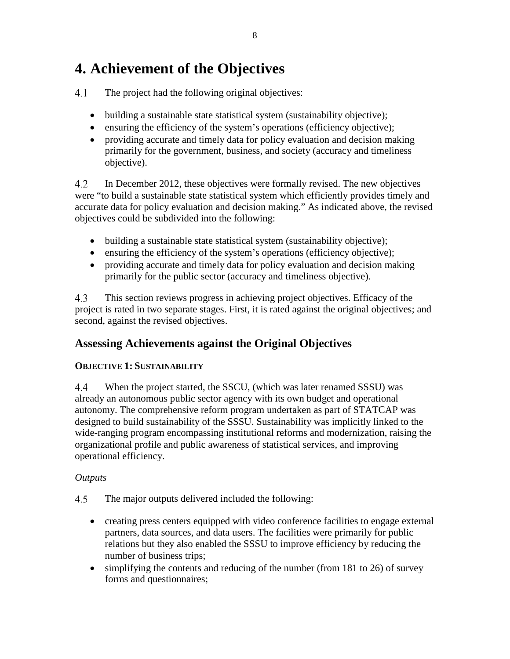## <span id="page-21-0"></span>**4. Achievement of the Objectives**

 $4.1$ The project had the following original objectives:

- building a sustainable state statistical system (sustainability objective);
- ensuring the efficiency of the system's operations (efficiency objective);
- providing accurate and timely data for policy evaluation and decision making primarily for the government, business, and society (accuracy and timeliness objective).

 $4.2$ In December 2012, these objectives were formally revised. The new objectives were "to build a sustainable state statistical system which efficiently provides timely and accurate data for policy evaluation and decision making." As indicated above, the revised objectives could be subdivided into the following:

- building a sustainable state statistical system (sustainability objective);
- ensuring the efficiency of the system's operations (efficiency objective);
- providing accurate and timely data for policy evaluation and decision making primarily for the public sector (accuracy and timeliness objective).

4.3 This section reviews progress in achieving project objectives. Efficacy of the project is rated in two separate stages. First, it is rated against the original objectives; and second, against the revised objectives.

### <span id="page-21-1"></span>**Assessing Achievements against the Original Objectives**

### **OBJECTIVE 1: SUSTAINABILITY**

4.4 When the project started, the SSCU, (which was later renamed SSSU) was already an autonomous public sector agency with its own budget and operational autonomy. The comprehensive reform program undertaken as part of STATCAP was designed to build sustainability of the SSSU. Sustainability was implicitly linked to the wide-ranging program encompassing institutional reforms and modernization, raising the organizational profile and public awareness of statistical services, and improving operational efficiency.

### *Outputs*

- 4.5 The major outputs delivered included the following:
	- creating press centers equipped with video conference facilities to engage external partners, data sources, and data users. The facilities were primarily for public relations but they also enabled the SSSU to improve efficiency by reducing the number of business trips;
	- simplifying the contents and reducing of the number (from 181 to 26) of survey forms and questionnaires;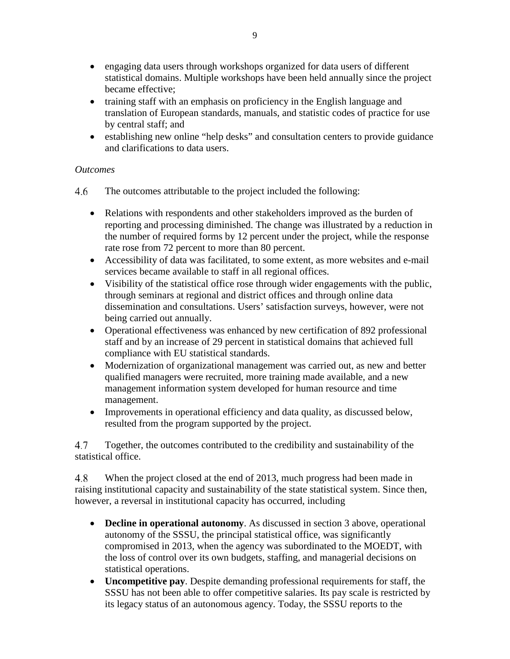- engaging data users through workshops organized for data users of different statistical domains. Multiple workshops have been held annually since the project became effective;
- training staff with an emphasis on proficiency in the English language and translation of European standards, manuals, and statistic codes of practice for use by central staff; and
- establishing new online "help desks" and consultation centers to provide guidance and clarifications to data users.

#### *Outcomes*

- 4.6 The outcomes attributable to the project included the following:
	- Relations with respondents and other stakeholders improved as the burden of reporting and processing diminished. The change was illustrated by a reduction in the number of required forms by 12 percent under the project, while the response rate rose from 72 percent to more than 80 percent.
	- Accessibility of data was facilitated, to some extent, as more websites and e-mail services became available to staff in all regional offices.
	- Visibility of the statistical office rose through wider engagements with the public, through seminars at regional and district offices and through online data dissemination and consultations. Users' satisfaction surveys, however, were not being carried out annually.
	- Operational effectiveness was enhanced by new certification of 892 professional staff and by an increase of 29 percent in statistical domains that achieved full compliance with EU statistical standards.
	- Modernization of organizational management was carried out, as new and better qualified managers were recruited, more training made available, and a new management information system developed for human resource and time management.
	- Improvements in operational efficiency and data quality, as discussed below, resulted from the program supported by the project.

4.7 Together, the outcomes contributed to the credibility and sustainability of the statistical office.

4.8 When the project closed at the end of 2013, much progress had been made in raising institutional capacity and sustainability of the state statistical system. Since then, however, a reversal in institutional capacity has occurred, including

- **Decline in operational autonomy**. As discussed in section 3 above, operational autonomy of the SSSU, the principal statistical office, was significantly compromised in 2013, when the agency was subordinated to the MOEDT, with the loss of control over its own budgets, staffing, and managerial decisions on statistical operations.
- **Uncompetitive pay**. Despite demanding professional requirements for staff, the SSSU has not been able to offer competitive salaries. Its pay scale is restricted by its legacy status of an autonomous agency. Today, the SSSU reports to the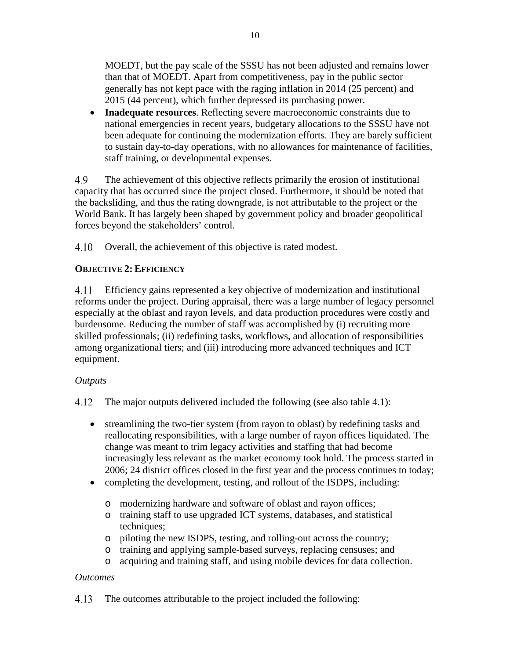MOEDT, but the pay scale of the SSSU has not been adjusted and remains lower than that of MOEDT. Apart from competitiveness, pay in the public sector generally has not kept pace with the raging inflation in 2014 (25 percent) and 2015 (44 percent), which further depressed its purchasing power.

• **Inadequate resources**. Reflecting severe macroeconomic constraints due to national emergencies in recent years, budgetary allocations to the SSSU have not been adequate for continuing the modernization efforts. They are barely sufficient to sustain day-to-day operations, with no allowances for maintenance of facilities, staff training, or developmental expenses.

4.9 The achievement of this objective reflects primarily the erosion of institutional capacity that has occurred since the project closed. Furthermore, it should be noted that the backsliding, and thus the rating downgrade, is not attributable to the project or the World Bank. It has largely been shaped by government policy and broader geopolitical forces beyond the stakeholders' control.

4.10 Overall, the achievement of this objective is rated modest.

#### **OBJECTIVE 2: EFFICIENCY**

 $4.11$ Efficiency gains represented a key objective of modernization and institutional reforms under the project. During appraisal, there was a large number of legacy personnel especially at the oblast and rayon levels, and data production procedures were costly and burdensome. Reducing the number of staff was accomplished by (i) recruiting more skilled professionals; (ii) redefining tasks, workflows, and allocation of responsibilities among organizational tiers; and (iii) introducing more advanced techniques and ICT equipment.

#### *Outputs*

4.12 The major outputs delivered included the following (see also table 4.1):

- streamlining the two-tier system (from rayon to oblast) by redefining tasks and reallocating responsibilities, with a large number of rayon offices liquidated. The change was meant to trim legacy activities and staffing that had become increasingly less relevant as the market economy took hold. The process started in 2006; 24 district offices closed in the first year and the process continues to today;
- completing the development, testing, and rollout of the ISDPS, including:
	- o modernizing hardware and software of oblast and rayon offices;
	- o training staff to use upgraded ICT systems, databases, and statistical techniques;
	- o piloting the new ISDPS, testing, and rolling-out across the country;
	- o training and applying sample-based surveys, replacing censuses; and
	- o acquiring and training staff, and using mobile devices for data collection.

#### *Outcomes*

4.13 The outcomes attributable to the project included the following: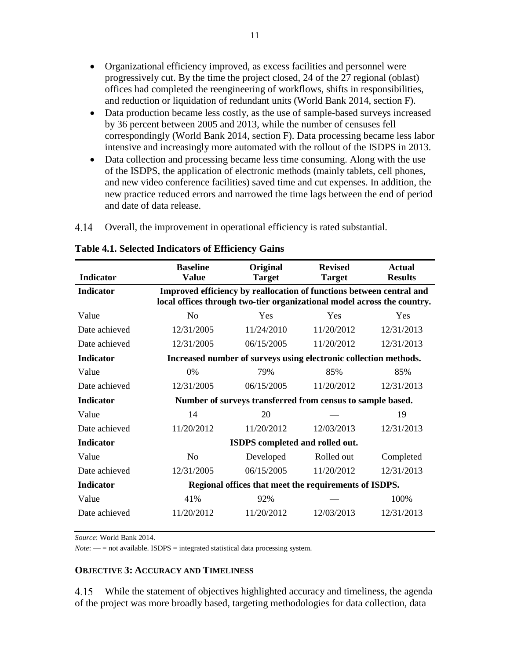- Organizational efficiency improved, as excess facilities and personnel were progressively cut. By the time the project closed, 24 of the 27 regional (oblast) offices had completed the reengineering of workflows, shifts in responsibilities, and reduction or liquidation of redundant units (World Bank 2014, section F).
- Data production became less costly, as the use of sample-based surveys increased by 36 percent between 2005 and 2013, while the number of censuses fell correspondingly (World Bank 2014, section F). Data processing became less labor intensive and increasingly more automated with the rollout of the ISDPS in 2013.
- Data collection and processing became less time consuming. Along with the use of the ISDPS, the application of electronic methods (mainly tablets, cell phones, and new video conference facilities) saved time and cut expenses. In addition, the new practice reduced errors and narrowed the time lags between the end of period and date of data release.
- $4.14$ Overall, the improvement in operational efficiency is rated substantial.

|                  | <b>Baseline</b>                                                         | Original                                                             | <b>Revised</b> | <b>Actual</b>  |
|------------------|-------------------------------------------------------------------------|----------------------------------------------------------------------|----------------|----------------|
| <b>Indicator</b> | <b>Value</b>                                                            | <b>Target</b>                                                        | <b>Target</b>  | <b>Results</b> |
| <b>Indicator</b> |                                                                         | Improved efficiency by reallocation of functions between central and |                |                |
|                  | local offices through two-tier organizational model across the country. |                                                                      |                |                |
| Value            | N <sub>o</sub>                                                          | Yes                                                                  | Yes            | Yes            |
| Date achieved    | 12/31/2005                                                              | 11/24/2010                                                           | 11/20/2012     | 12/31/2013     |
| Date achieved    | 12/31/2005                                                              | 06/15/2005                                                           | 11/20/2012     | 12/31/2013     |
| <b>Indicator</b> |                                                                         | Increased number of surveys using electronic collection methods.     |                |                |
| Value            | 0%                                                                      | 79%                                                                  | 85%            | 85%            |
| Date achieved    | 12/31/2005                                                              | 06/15/2005                                                           | 11/20/2012     | 12/31/2013     |
| <b>Indicator</b> |                                                                         | Number of surveys transferred from census to sample based.           |                |                |
| Value            | 14                                                                      | 20                                                                   |                | 19             |
| Date achieved    | 11/20/2012                                                              | 11/20/2012                                                           | 12/03/2013     | 12/31/2013     |
| <b>Indicator</b> |                                                                         | ISDPS completed and rolled out.                                      |                |                |
| Value            | N <sub>o</sub>                                                          | Developed                                                            | Rolled out     | Completed      |
| Date achieved    | 12/31/2005                                                              | 06/15/2005                                                           | 11/20/2012     | 12/31/2013     |
| <b>Indicator</b> |                                                                         | Regional offices that meet the requirements of ISDPS.                |                |                |
| Value            | 41%                                                                     | 92%                                                                  |                | 100%           |
| Date achieved    | 11/20/2012                                                              | 11/20/2012                                                           | 12/03/2013     | 12/31/2013     |

#### <span id="page-24-0"></span>**Table 4.1. Selected Indicators of Efficiency Gains**

*Source*: World Bank 2014.

 $Note:$   $\frac{1}{100}$  = not available. ISDPS = integrated statistical data processing system.

#### **OBJECTIVE 3: ACCURACY AND TIMELINESS**

While the statement of objectives highlighted accuracy and timeliness, the agenda 4.15 of the project was more broadly based, targeting methodologies for data collection, data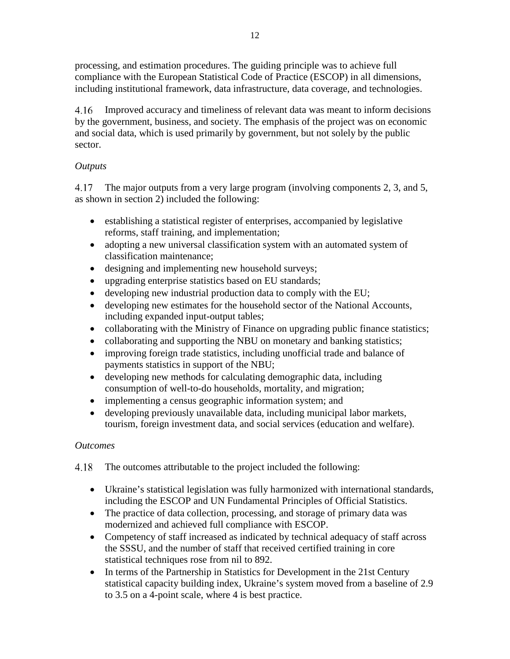processing, and estimation procedures. The guiding principle was to achieve full compliance with the European Statistical Code of Practice (ESCOP) in all dimensions, including institutional framework, data infrastructure, data coverage, and technologies.

4.16 Improved accuracy and timeliness of relevant data was meant to inform decisions by the government, business, and society. The emphasis of the project was on economic and social data, which is used primarily by government, but not solely by the public sector.

### *Outputs*

The major outputs from a very large program (involving components 2, 3, and 5, 4.17 as shown in section 2) included the following:

- establishing a statistical register of enterprises, accompanied by legislative reforms, staff training, and implementation;
- adopting a new universal classification system with an automated system of classification maintenance;
- designing and implementing new household surveys;
- upgrading enterprise statistics based on EU standards;
- developing new industrial production data to comply with the EU;
- developing new estimates for the household sector of the National Accounts, including expanded input-output tables;
- collaborating with the Ministry of Finance on upgrading public finance statistics;
- collaborating and supporting the NBU on monetary and banking statistics;
- improving foreign trade statistics, including unofficial trade and balance of payments statistics in support of the NBU;
- developing new methods for calculating demographic data, including consumption of well-to-do households, mortality, and migration;
- implementing a census geographic information system; and
- developing previously unavailable data, including municipal labor markets, tourism, foreign investment data, and social services (education and welfare).

### *Outcomes*

The outcomes attributable to the project included the following:

- Ukraine's statistical legislation was fully harmonized with international standards, including the ESCOP and UN Fundamental Principles of Official Statistics.
- The practice of data collection, processing, and storage of primary data was modernized and achieved full compliance with ESCOP.
- Competency of staff increased as indicated by technical adequacy of staff across the SSSU, and the number of staff that received certified training in core statistical techniques rose from nil to 892.
- In terms of the Partnership in Statistics for Development in the 21st Century statistical capacity building index, Ukraine's system moved from a baseline of 2.9 to 3.5 on a 4-point scale, where 4 is best practice.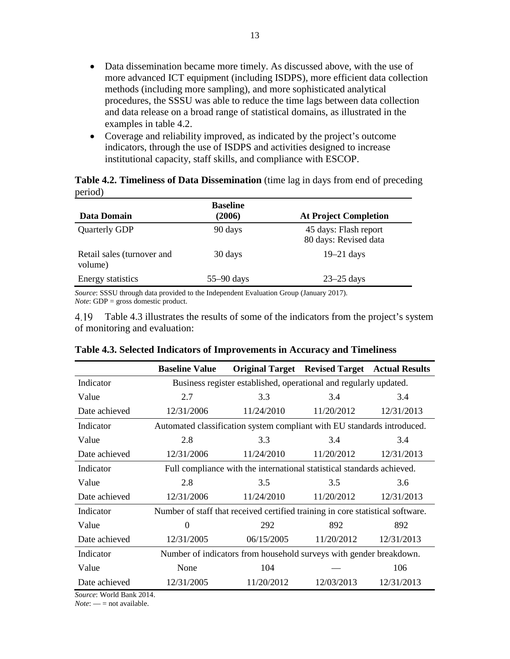- Data dissemination became more timely. As discussed above, with the use of more advanced ICT equipment (including ISDPS), more efficient data collection methods (including more sampling), and more sophisticated analytical procedures, the SSSU was able to reduce the time lags between data collection and data release on a broad range of statistical domains, as illustrated in the examples in table 4.2.
- Coverage and reliability improved, as indicated by the project's outcome indicators, through the use of ISDPS and activities designed to increase institutional capacity, staff skills, and compliance with ESCOP.

<span id="page-26-0"></span>

|         | Table 4.2. Timeliness of Data Dissemination (time lag in days from end of preceding |  |  |  |  |
|---------|-------------------------------------------------------------------------------------|--|--|--|--|
| period) |                                                                                     |  |  |  |  |

| Data Domain                           | <b>Baseline</b><br>(2006) | <b>At Project Completion</b>                   |
|---------------------------------------|---------------------------|------------------------------------------------|
| <b>Quarterly GDP</b>                  | 90 days                   | 45 days: Flash report<br>80 days: Revised data |
| Retail sales (turnover and<br>volume) | 30 days                   | $19-21$ days                                   |
| Energy statistics                     | $55-90$ days              | $23-25$ days                                   |

*Source*: SSSU through data provided to the Independent Evaluation Group (January 2017). *Note*: GDP = gross domestic product.

4.19 Table 4.3 illustrates the results of some of the indicators from the project's system of monitoring and evaluation:

|                                   | <b>Baseline Value</b>                                              |                                                                                | <b>Original Target</b> Revised Target Actual Results |            |  |
|-----------------------------------|--------------------------------------------------------------------|--------------------------------------------------------------------------------|------------------------------------------------------|------------|--|
| Indicator                         |                                                                    | Business register established, operational and regularly updated.              |                                                      |            |  |
| Value                             | 2.7                                                                | 3.3                                                                            | 3.4                                                  | 3.4        |  |
| Date achieved                     | 12/31/2006                                                         | 11/24/2010                                                                     | 11/20/2012                                           | 12/31/2013 |  |
| Indicator                         |                                                                    | Automated classification system compliant with EU standards introduced.        |                                                      |            |  |
| Value                             | 2.8                                                                | 3.3                                                                            | 3.4                                                  | 3.4        |  |
| Date achieved                     | 12/31/2006                                                         | 11/24/2010                                                                     | 11/20/2012                                           | 12/31/2013 |  |
| Indicator                         |                                                                    | Full compliance with the international statistical standards achieved.         |                                                      |            |  |
| Value                             | 2.8                                                                | 3.5                                                                            | 3.5                                                  | 3.6        |  |
| Date achieved                     | 12/31/2006                                                         | 11/24/2010                                                                     | 11/20/2012                                           | 12/31/2013 |  |
| Indicator                         |                                                                    | Number of staff that received certified training in core statistical software. |                                                      |            |  |
| Value                             | $\Omega$                                                           | 292                                                                            | 892                                                  | 892        |  |
| Date achieved                     | 12/31/2005                                                         | 06/15/2005                                                                     | 11/20/2012                                           | 12/31/2013 |  |
| Indicator                         | Number of indicators from household surveys with gender breakdown. |                                                                                |                                                      |            |  |
| Value                             | None                                                               | 104                                                                            |                                                      | 106        |  |
| Date achieved<br>$117.112$ 1.0014 | 12/31/2005                                                         | 11/20/2012                                                                     | 12/03/2013                                           | 12/31/2013 |  |

#### <span id="page-26-1"></span>**Table 4.3. Selected Indicators of Improvements in Accuracy and Timeliness**

*Source*: World Bank 2014.

*Note*: — = not available.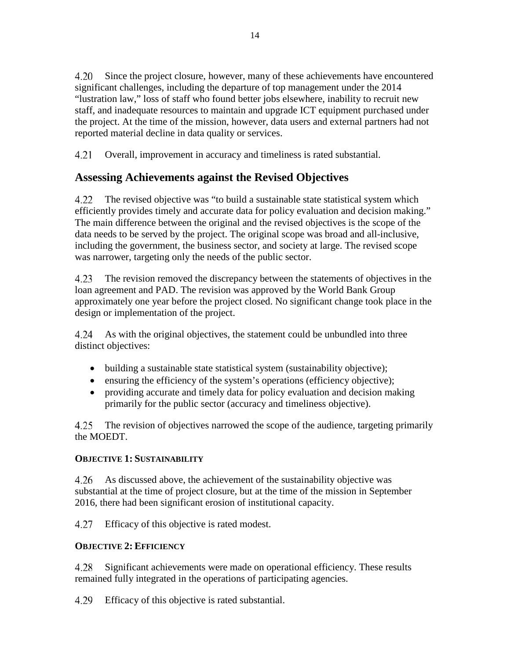4.20 Since the project closure, however, many of these achievements have encountered significant challenges, including the departure of top management under the 2014 "lustration law," loss of staff who found better jobs elsewhere, inability to recruit new staff, and inadequate resources to maintain and upgrade ICT equipment purchased under the project. At the time of the mission, however, data users and external partners had not reported material decline in data quality or services.

Overall, improvement in accuracy and timeliness is rated substantial. 4.21

### <span id="page-27-0"></span>**Assessing Achievements against the Revised Objectives**

4.22 The revised objective was "to build a sustainable state statistical system which efficiently provides timely and accurate data for policy evaluation and decision making." The main difference between the original and the revised objectives is the scope of the data needs to be served by the project. The original scope was broad and all-inclusive, including the government, the business sector, and society at large. The revised scope was narrower, targeting only the needs of the public sector.

4.23 The revision removed the discrepancy between the statements of objectives in the loan agreement and PAD. The revision was approved by the World Bank Group approximately one year before the project closed. No significant change took place in the design or implementation of the project.

4.24 As with the original objectives, the statement could be unbundled into three distinct objectives:

- building a sustainable state statistical system (sustainability objective);
- ensuring the efficiency of the system's operations (efficiency objective);
- providing accurate and timely data for policy evaluation and decision making primarily for the public sector (accuracy and timeliness objective).

4.25 The revision of objectives narrowed the scope of the audience, targeting primarily the MOEDT.

#### **OBJECTIVE 1: SUSTAINABILITY**

4.26 As discussed above, the achievement of the sustainability objective was substantial at the time of project closure, but at the time of the mission in September 2016, there had been significant erosion of institutional capacity.

4.27 Efficacy of this objective is rated modest.

#### **OBJECTIVE 2: EFFICIENCY**

4.28 Significant achievements were made on operational efficiency. These results remained fully integrated in the operations of participating agencies.

4.29 Efficacy of this objective is rated substantial.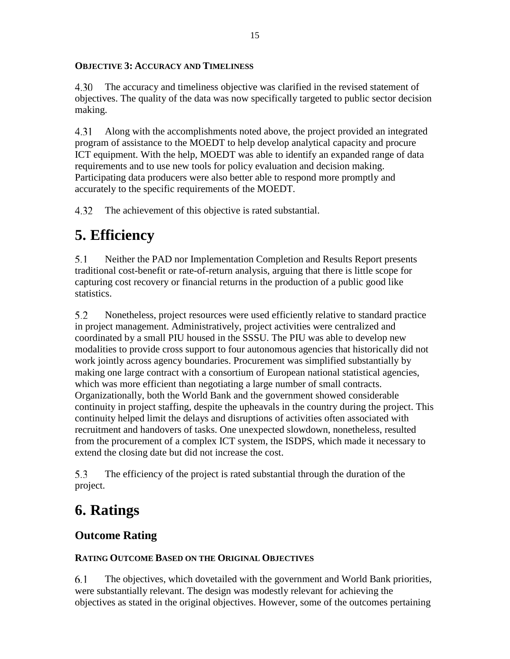#### **OBJECTIVE 3: ACCURACY AND TIMELINESS**

4.30 The accuracy and timeliness objective was clarified in the revised statement of objectives. The quality of the data was now specifically targeted to public sector decision making.

4.31 Along with the accomplishments noted above, the project provided an integrated program of assistance to the MOEDT to help develop analytical capacity and procure ICT equipment. With the help, MOEDT was able to identify an expanded range of data requirements and to use new tools for policy evaluation and decision making. Participating data producers were also better able to respond more promptly and accurately to the specific requirements of the MOEDT.

4.32 The achievement of this objective is rated substantial.

## <span id="page-28-0"></span>**5. Efficiency**

5.1 Neither the PAD nor Implementation Completion and Results Report presents traditional cost-benefit or rate-of-return analysis, arguing that there is little scope for capturing cost recovery or financial returns in the production of a public good like statistics.

5.2 Nonetheless, project resources were used efficiently relative to standard practice in project management. Administratively, project activities were centralized and coordinated by a small PIU housed in the SSSU. The PIU was able to develop new modalities to provide cross support to four autonomous agencies that historically did not work jointly across agency boundaries. Procurement was simplified substantially by making one large contract with a consortium of European national statistical agencies, which was more efficient than negotiating a large number of small contracts. Organizationally, both the World Bank and the government showed considerable continuity in project staffing, despite the upheavals in the country during the project. This continuity helped limit the delays and disruptions of activities often associated with recruitment and handovers of tasks. One unexpected slowdown, nonetheless, resulted from the procurement of a complex ICT system, the ISDPS, which made it necessary to extend the closing date but did not increase the cost.

5.3 The efficiency of the project is rated substantial through the duration of the project.

## <span id="page-28-1"></span>**6. Ratings**

## <span id="page-28-2"></span>**Outcome Rating**

### **RATING OUTCOME BASED ON THE ORIGINAL OBJECTIVES**

6.1 The objectives, which dovetailed with the government and World Bank priorities, were substantially relevant. The design was modestly relevant for achieving the objectives as stated in the original objectives. However, some of the outcomes pertaining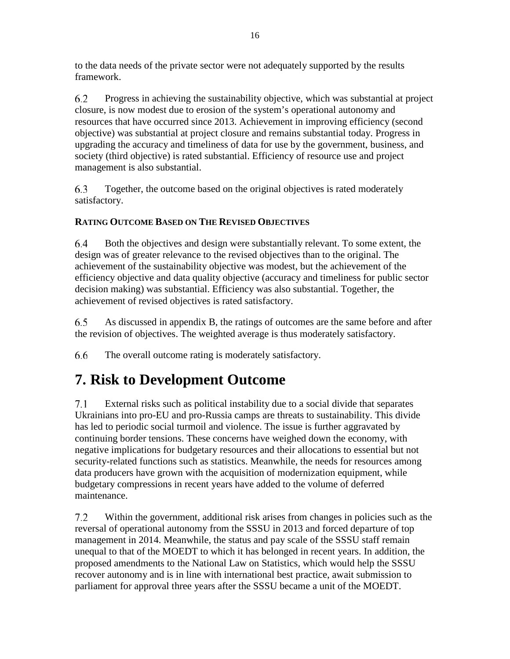to the data needs of the private sector were not adequately supported by the results framework.

6.2 Progress in achieving the sustainability objective, which was substantial at project closure, is now modest due to erosion of the system's operational autonomy and resources that have occurred since 2013. Achievement in improving efficiency (second objective) was substantial at project closure and remains substantial today. Progress in upgrading the accuracy and timeliness of data for use by the government, business, and society (third objective) is rated substantial. Efficiency of resource use and project management is also substantial.

6.3 Together, the outcome based on the original objectives is rated moderately satisfactory.

### **RATING OUTCOME BASED ON THE REVISED OBJECTIVES**

6.4 Both the objectives and design were substantially relevant. To some extent, the design was of greater relevance to the revised objectives than to the original. The achievement of the sustainability objective was modest, but the achievement of the efficiency objective and data quality objective (accuracy and timeliness for public sector decision making) was substantial. Efficiency was also substantial. Together, the achievement of revised objectives is rated satisfactory.

6.5 As discussed in appendix B, the ratings of outcomes are the same before and after the revision of objectives. The weighted average is thus moderately satisfactory.

6.6 The overall outcome rating is moderately satisfactory.

## <span id="page-29-0"></span>**7. Risk to Development Outcome**

External risks such as political instability due to a social divide that separates  $7.1$ Ukrainians into pro-EU and pro-Russia camps are threats to sustainability. This divide has led to periodic social turmoil and violence. The issue is further aggravated by continuing border tensions. These concerns have weighed down the economy, with negative implications for budgetary resources and their allocations to essential but not security-related functions such as statistics. Meanwhile, the needs for resources among data producers have grown with the acquisition of modernization equipment, while budgetary compressions in recent years have added to the volume of deferred maintenance.

 $7.2$ Within the government, additional risk arises from changes in policies such as the reversal of operational autonomy from the SSSU in 2013 and forced departure of top management in 2014. Meanwhile, the status and pay scale of the SSSU staff remain unequal to that of the MOEDT to which it has belonged in recent years. In addition, the proposed amendments to the National Law on Statistics, which would help the SSSU recover autonomy and is in line with international best practice, await submission to parliament for approval three years after the SSSU became a unit of the MOEDT.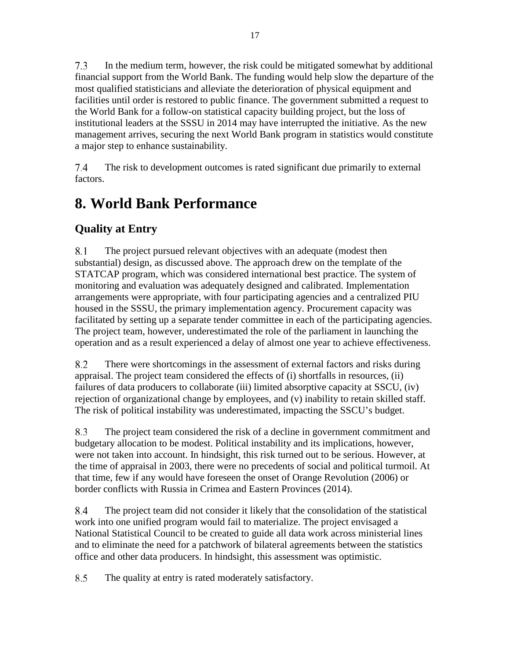$7.3$ In the medium term, however, the risk could be mitigated somewhat by additional financial support from the World Bank. The funding would help slow the departure of the most qualified statisticians and alleviate the deterioration of physical equipment and facilities until order is restored to public finance. The government submitted a request to the World Bank for a follow-on statistical capacity building project, but the loss of institutional leaders at the SSSU in 2014 may have interrupted the initiative. As the new management arrives, securing the next World Bank program in statistics would constitute a major step to enhance sustainability.

7.4 The risk to development outcomes is rated significant due primarily to external factors.

## <span id="page-30-0"></span>**8. World Bank Performance**

## **Quality at Entry**

8.1 The project pursued relevant objectives with an adequate (modest then substantial) design, as discussed above. The approach drew on the template of the STATCAP program, which was considered international best practice. The system of monitoring and evaluation was adequately designed and calibrated. Implementation arrangements were appropriate, with four participating agencies and a centralized PIU housed in the SSSU, the primary implementation agency. Procurement capacity was facilitated by setting up a separate tender committee in each of the participating agencies. The project team, however, underestimated the role of the parliament in launching the operation and as a result experienced a delay of almost one year to achieve effectiveness.

8.2 There were shortcomings in the assessment of external factors and risks during appraisal. The project team considered the effects of (i) shortfalls in resources, (ii) failures of data producers to collaborate (iii) limited absorptive capacity at SSCU, (iv) rejection of organizational change by employees, and (v) inability to retain skilled staff. The risk of political instability was underestimated, impacting the SSCU's budget.

8.3 The project team considered the risk of a decline in government commitment and budgetary allocation to be modest. Political instability and its implications, however, were not taken into account. In hindsight, this risk turned out to be serious. However, at the time of appraisal in 2003, there were no precedents of social and political turmoil. At that time, few if any would have foreseen the onset of Orange Revolution (2006) or border conflicts with Russia in Crimea and Eastern Provinces (2014).

8.4 The project team did not consider it likely that the consolidation of the statistical work into one unified program would fail to materialize. The project envisaged a National Statistical Council to be created to guide all data work across ministerial lines and to eliminate the need for a patchwork of bilateral agreements between the statistics office and other data producers. In hindsight, this assessment was optimistic.

8.5 The quality at entry is rated moderately satisfactory.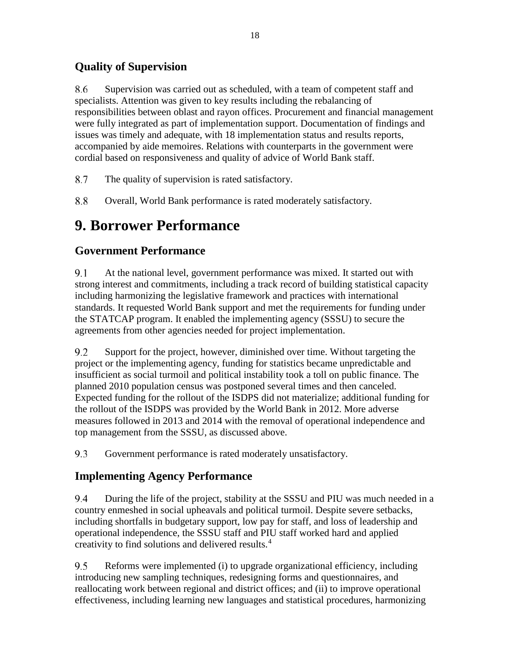## **Quality of Supervision**

8.6 Supervision was carried out as scheduled, with a team of competent staff and specialists. Attention was given to key results including the rebalancing of responsibilities between oblast and rayon offices. Procurement and financial management were fully integrated as part of implementation support. Documentation of findings and issues was timely and adequate, with 18 implementation status and results reports, accompanied by aide memoires. Relations with counterparts in the government were cordial based on responsiveness and quality of advice of World Bank staff.

- 8.7 The quality of supervision is rated satisfactory.
- 8.8 Overall, World Bank performance is rated moderately satisfactory.

## <span id="page-31-0"></span>**9. Borrower Performance**

## **Government Performance**

9.1 At the national level, government performance was mixed. It started out with strong interest and commitments, including a track record of building statistical capacity including harmonizing the legislative framework and practices with international standards. It requested World Bank support and met the requirements for funding under the STATCAP program. It enabled the implementing agency (SSSU) to secure the agreements from other agencies needed for project implementation.

9.2 Support for the project, however, diminished over time. Without targeting the project or the implementing agency, funding for statistics became unpredictable and insufficient as social turmoil and political instability took a toll on public finance. The planned 2010 population census was postponed several times and then canceled. Expected funding for the rollout of the ISDPS did not materialize; additional funding for the rollout of the ISDPS was provided by the World Bank in 2012. More adverse measures followed in 2013 and 2014 with the removal of operational independence and top management from the SSSU, as discussed above.

9.3 Government performance is rated moderately unsatisfactory.

## **Implementing Agency Performance**

9.4 During the life of the project, stability at the SSSU and PIU was much needed in a country enmeshed in social upheavals and political turmoil. Despite severe setbacks, including shortfalls in budgetary support, low pay for staff, and loss of leadership and operational independence, the SSSU staff and PIU staff worked hard and applied creativity to find solutions and delivered results.[4](#page-34-4)

9.5 Reforms were implemented (i) to upgrade organizational efficiency, including introducing new sampling techniques, redesigning forms and questionnaires, and reallocating work between regional and district offices; and (ii) to improve operational effectiveness, including learning new languages and statistical procedures, harmonizing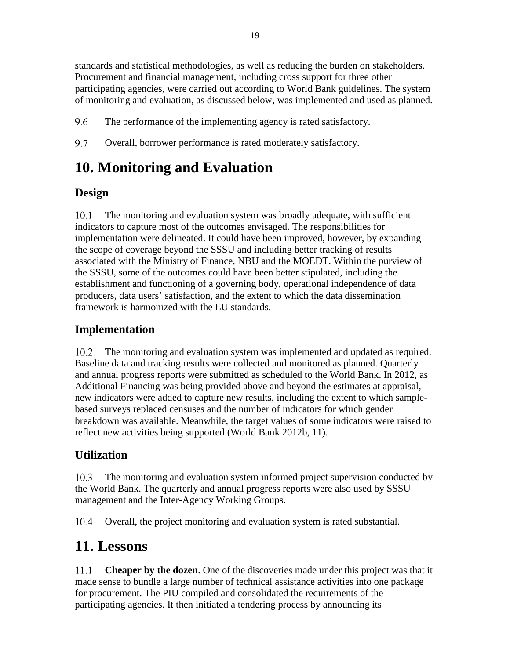standards and statistical methodologies, as well as reducing the burden on stakeholders. Procurement and financial management, including cross support for three other participating agencies, were carried out according to World Bank guidelines. The system of monitoring and evaluation, as discussed below, was implemented and used as planned.

9.6 The performance of the implementing agency is rated satisfactory.

9.7 Overall, borrower performance is rated moderately satisfactory.

## <span id="page-32-0"></span>**10. Monitoring and Evaluation**

## **Design**

The monitoring and evaluation system was broadly adequate, with sufficient 10.1 indicators to capture most of the outcomes envisaged. The responsibilities for implementation were delineated. It could have been improved, however, by expanding the scope of coverage beyond the SSSU and including better tracking of results associated with the Ministry of Finance, NBU and the MOEDT. Within the purview of the SSSU, some of the outcomes could have been better stipulated, including the establishment and functioning of a governing body, operational independence of data producers, data users' satisfaction, and the extent to which the data dissemination framework is harmonized with the EU standards.

## **Implementation**

10.2 The monitoring and evaluation system was implemented and updated as required. Baseline data and tracking results were collected and monitored as planned. Quarterly and annual progress reports were submitted as scheduled to the World Bank. In 2012, as Additional Financing was being provided above and beyond the estimates at appraisal, new indicators were added to capture new results, including the extent to which samplebased surveys replaced censuses and the number of indicators for which gender breakdown was available. Meanwhile, the target values of some indicators were raised to reflect new activities being supported (World Bank 2012b, 11).

## **Utilization**

The monitoring and evaluation system informed project supervision conducted by 10.3 the World Bank. The quarterly and annual progress reports were also used by SSSU management and the Inter-Agency Working Groups.

10.4 Overall, the project monitoring and evaluation system is rated substantial.

## <span id="page-32-1"></span>**11. Lessons**

11.1 **Cheaper by the dozen**. One of the discoveries made under this project was that it made sense to bundle a large number of technical assistance activities into one package for procurement. The PIU compiled and consolidated the requirements of the participating agencies. It then initiated a tendering process by announcing its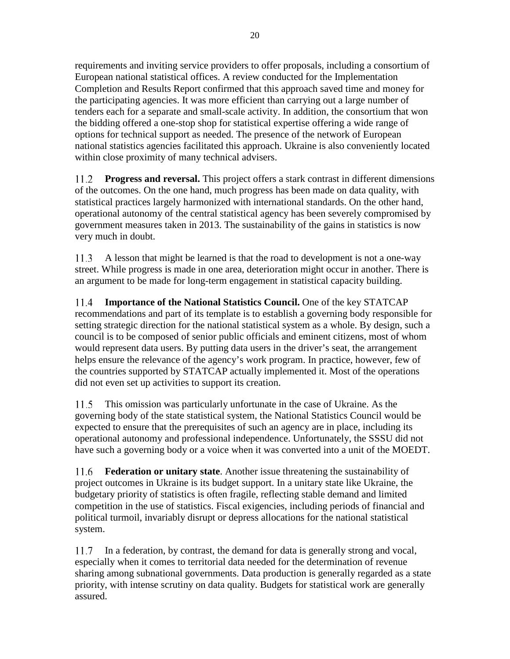requirements and inviting service providers to offer proposals, including a consortium of European national statistical offices. A review conducted for the Implementation Completion and Results Report confirmed that this approach saved time and money for the participating agencies. It was more efficient than carrying out a large number of tenders each for a separate and small-scale activity. In addition, the consortium that won the bidding offered a one-stop shop for statistical expertise offering a wide range of options for technical support as needed. The presence of the network of European national statistics agencies facilitated this approach. Ukraine is also conveniently located within close proximity of many technical advisers.

11.2 **Progress and reversal.** This project offers a stark contrast in different dimensions of the outcomes. On the one hand, much progress has been made on data quality, with statistical practices largely harmonized with international standards. On the other hand, operational autonomy of the central statistical agency has been severely compromised by government measures taken in 2013. The sustainability of the gains in statistics is now very much in doubt.

A lesson that might be learned is that the road to development is not a one-way 11.3 street. While progress is made in one area, deterioration might occur in another. There is an argument to be made for long-term engagement in statistical capacity building.

11.4 **Importance of the National Statistics Council.** One of the key STATCAP recommendations and part of its template is to establish a governing body responsible for setting strategic direction for the national statistical system as a whole. By design, such a council is to be composed of senior public officials and eminent citizens, most of whom would represent data users. By putting data users in the driver's seat, the arrangement helps ensure the relevance of the agency's work program. In practice, however, few of the countries supported by STATCAP actually implemented it. Most of the operations did not even set up activities to support its creation.

This omission was particularly unfortunate in the case of Ukraine. As the 11.5 governing body of the state statistical system, the National Statistics Council would be expected to ensure that the prerequisites of such an agency are in place, including its operational autonomy and professional independence. Unfortunately, the SSSU did not have such a governing body or a voice when it was converted into a unit of the MOEDT.

11.6 **Federation or unitary state**. Another issue threatening the sustainability of project outcomes in Ukraine is its budget support. In a unitary state like Ukraine, the budgetary priority of statistics is often fragile, reflecting stable demand and limited competition in the use of statistics. Fiscal exigencies, including periods of financial and political turmoil, invariably disrupt or depress allocations for the national statistical system.

In a federation, by contrast, the demand for data is generally strong and vocal, 11.7 especially when it comes to territorial data needed for the determination of revenue sharing among subnational governments. Data production is generally regarded as a state priority, with intense scrutiny on data quality. Budgets for statistical work are generally assured.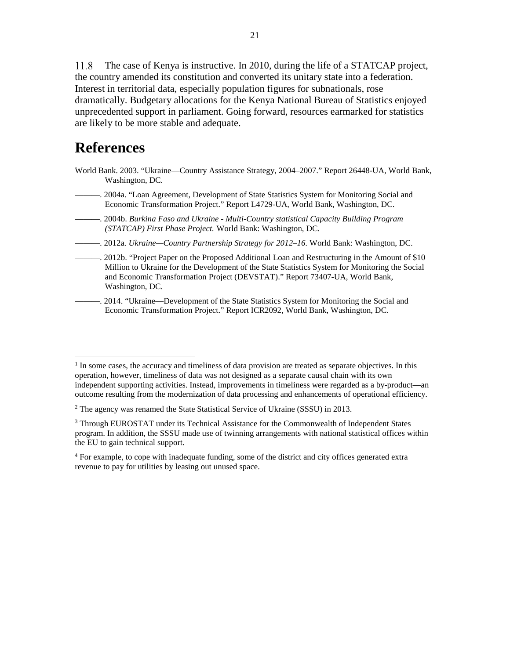The case of Kenya is instructive. In 2010, during the life of a STATCAP project, 11.8 the country amended its constitution and converted its unitary state into a federation. Interest in territorial data, especially population figures for subnationals, rose dramatically. Budgetary allocations for the Kenya National Bureau of Statistics enjoyed unprecedented support in parliament. Going forward, resources earmarked for statistics are likely to be more stable and adequate.

## <span id="page-34-0"></span>**References**

 $\overline{a}$ 

- World Bank. 2003. "Ukraine—Country Assistance Strategy, 2004–2007." Report 26448-UA, World Bank, Washington, DC.
- ———. 2004a. "Loan Agreement, Development of State Statistics System for Monitoring Social and Economic Transformation Project." Report L4729-UA, World Bank, Washington, DC.
- ———. 2004b. *Burkina Faso and Ukraine - Multi-Country statistical Capacity Building Program (STATCAP) First Phase Project.* World Bank: Washington, DC.
- ———. 2012a. *Ukraine—Country Partnership Strategy for 2012–16.* World Bank: Washington, DC.
- ———. 2012b. "Project Paper on the Proposed Additional Loan and Restructuring in the Amount of \$10 Million to Ukraine for the Development of the State Statistics System for Monitoring the Social and Economic Transformation Project (DEVSTAT)." Report 73407-UA, World Bank, Washington, DC.
- ———. 2014. "Ukraine—Development of the State Statistics System for Monitoring the Social and Economic Transformation Project." Report ICR2092, World Bank, Washington, DC.

<span id="page-34-1"></span> $<sup>1</sup>$  In some cases, the accuracy and timeliness of data provision are treated as separate objectives. In this</sup> operation, however, timeliness of data was not designed as a separate causal chain with its own independent supporting activities. Instead, improvements in timeliness were regarded as a by-product—an outcome resulting from the modernization of data processing and enhancements of operational efficiency.

<span id="page-34-2"></span> $2$  The agency was renamed the State Statistical Service of Ukraine (SSSU) in 2013.

<span id="page-34-3"></span><sup>&</sup>lt;sup>3</sup> Through EUROSTAT under its Technical Assistance for the Commonwealth of Independent States program. In addition, the SSSU made use of twinning arrangements with national statistical offices within the EU to gain technical support.

<span id="page-34-4"></span><sup>&</sup>lt;sup>4</sup> For example, to cope with inadequate funding, some of the district and city offices generated extra revenue to pay for utilities by leasing out unused space.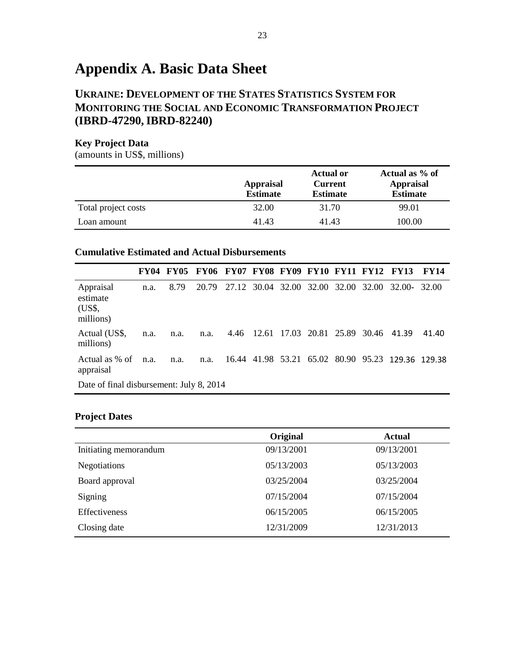## <span id="page-36-0"></span>**Appendix A. Basic Data Sheet**

### **UKRAINE: DEVELOPMENT OF THE STATES STATISTICS SYSTEM FOR MONITORING THE SOCIAL AND ECONOMIC TRANSFORMATION PROJECT (IBRD-47290,IBRD-82240)**

#### **Key Project Data**

(amounts in US\$, millions)

|                     | <b>Appraisal</b><br><b>Estimate</b> | <b>Actual or</b><br><b>Current</b><br><b>Estimate</b> | Actual as % of<br><b>Appraisal</b><br><b>Estimate</b> |
|---------------------|-------------------------------------|-------------------------------------------------------|-------------------------------------------------------|
| Total project costs | 32.00                               | 31.70                                                 | 99.01                                                 |
| Loan amount         | 41.43                               | 41.43                                                 | 100.00                                                |

#### **Cumulative Estimated and Actual Disbursements**

|                                              | <b>FY04</b> | <b>FY05</b> | <b>FY06 FY07 FY08 FY09 FY10 FY11 FY12</b> |                         |  |  |             |                                    | <b>FY13</b>                                       | <b>FY14</b> |
|----------------------------------------------|-------------|-------------|-------------------------------------------|-------------------------|--|--|-------------|------------------------------------|---------------------------------------------------|-------------|
| Appraisal<br>estimate<br>(US\$,<br>millions) | n.a.        | 8.79        | 20.79                                     | 27.12 30.04 32.00 32.00 |  |  | 32.00 32.00 |                                    | 32.00-                                            | 32.00       |
| Actual (US\$,<br>millions)                   | n.a.        | n.a.        | n.a.                                      |                         |  |  |             | 4.46 12.61 17.03 20.81 25.89 30.46 | 41.39                                             | 41.40       |
| Actual as % of<br>appraisal                  | n.a.        | n.a.        | n.a.                                      |                         |  |  |             |                                    | 16.44 41.98 53.21 65.02 80.90 95.23 129.36 129.38 |             |
| Date of final disbursement: July 8, 2014     |             |             |                                           |                         |  |  |             |                                    |                                                   |             |

#### **Project Dates**

|                       | Original   | <b>Actual</b> |
|-----------------------|------------|---------------|
| Initiating memorandum | 09/13/2001 | 09/13/2001    |
| Negotiations          | 05/13/2003 | 05/13/2003    |
| Board approval        | 03/25/2004 | 03/25/2004    |
| Signing               | 07/15/2004 | 07/15/2004    |
| Effectiveness         | 06/15/2005 | 06/15/2005    |
| Closing date          | 12/31/2009 | 12/31/2013    |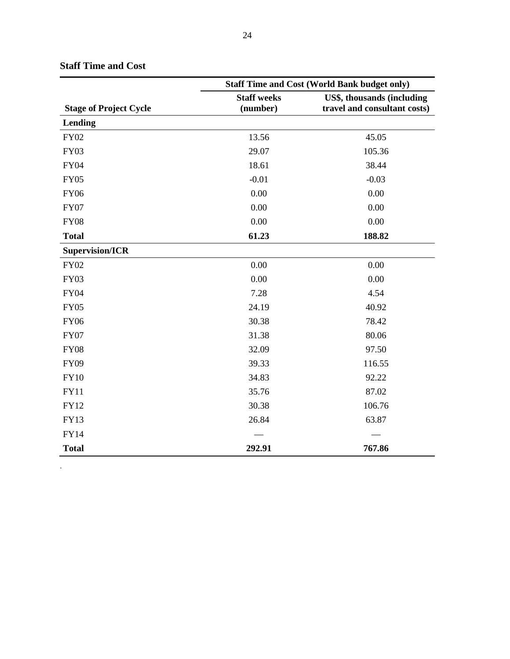|                               | <b>Staff Time and Cost (World Bank budget only)</b> |                              |  |  |
|-------------------------------|-----------------------------------------------------|------------------------------|--|--|
|                               | <b>Staff weeks</b>                                  | US\$, thousands (including   |  |  |
| <b>Stage of Project Cycle</b> | (number)                                            | travel and consultant costs) |  |  |
| Lending                       |                                                     |                              |  |  |
| <b>FY02</b>                   | 13.56                                               | 45.05                        |  |  |
| <b>FY03</b>                   | 29.07                                               | 105.36                       |  |  |
| <b>FY04</b>                   | 18.61                                               | 38.44                        |  |  |
| <b>FY05</b>                   | $-0.01$                                             | $-0.03$                      |  |  |
| <b>FY06</b>                   | 0.00                                                | 0.00                         |  |  |
| <b>FY07</b>                   | 0.00                                                | 0.00                         |  |  |
| <b>FY08</b>                   | 0.00                                                | 0.00                         |  |  |
| <b>Total</b>                  | 61.23                                               | 188.82                       |  |  |
| <b>Supervision/ICR</b>        |                                                     |                              |  |  |
| <b>FY02</b>                   | 0.00                                                | 0.00                         |  |  |
| <b>FY03</b>                   | 0.00                                                | 0.00                         |  |  |
| <b>FY04</b>                   | 7.28                                                | 4.54                         |  |  |
| <b>FY05</b>                   | 24.19                                               | 40.92                        |  |  |
| <b>FY06</b>                   | 30.38                                               | 78.42                        |  |  |
| <b>FY07</b>                   | 31.38                                               | 80.06                        |  |  |
| <b>FY08</b>                   | 32.09                                               | 97.50                        |  |  |
| <b>FY09</b>                   | 39.33                                               | 116.55                       |  |  |
| <b>FY10</b>                   | 34.83                                               | 92.22                        |  |  |
| <b>FY11</b>                   | 35.76                                               | 87.02                        |  |  |
| <b>FY12</b>                   | 30.38                                               | 106.76                       |  |  |
| <b>FY13</b>                   | 26.84                                               | 63.87                        |  |  |
| <b>FY14</b>                   |                                                     |                              |  |  |
| <b>Total</b>                  | 292.91                                              | 767.86                       |  |  |

### **Staff Time and Cost**

.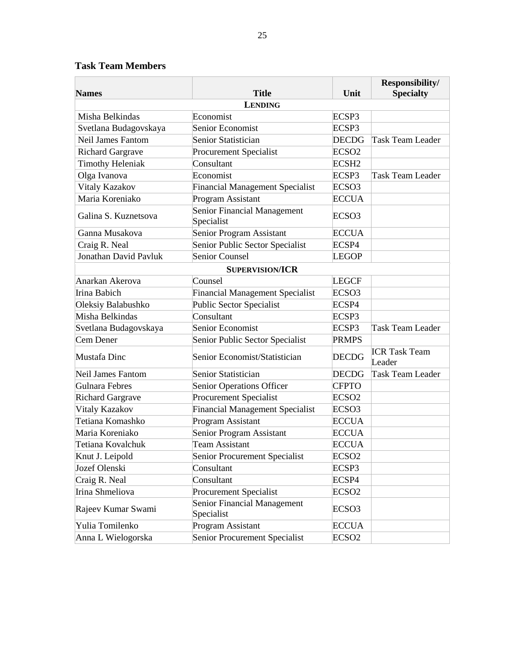### **Task Team Members**

|                          |                                           |                   | Responsibility/                |  |  |  |
|--------------------------|-------------------------------------------|-------------------|--------------------------------|--|--|--|
| <b>Names</b>             | <b>Title</b>                              | Unit              | <b>Specialty</b>               |  |  |  |
| <b>LENDING</b>           |                                           |                   |                                |  |  |  |
| Misha Belkindas          | Economist                                 | ECSP3             |                                |  |  |  |
| Svetlana Budagovskaya    | Senior Economist                          | ECSP3             |                                |  |  |  |
| <b>Neil James Fantom</b> | Senior Statistician                       | <b>DECDG</b>      | <b>Task Team Leader</b>        |  |  |  |
| <b>Richard Gargrave</b>  | <b>Procurement Specialist</b>             | ECSO <sub>2</sub> |                                |  |  |  |
| <b>Timothy Heleniak</b>  | Consultant                                | ECSH <sub>2</sub> |                                |  |  |  |
| Olga Ivanova             | Economist                                 | ECSP3             | <b>Task Team Leader</b>        |  |  |  |
| Vitaly Kazakov           | <b>Financial Management Specialist</b>    | ECSO <sub>3</sub> |                                |  |  |  |
| Maria Koreniako          | <b>Program Assistant</b>                  | <b>ECCUA</b>      |                                |  |  |  |
| Galina S. Kuznetsova     | Senior Financial Management<br>Specialist | ECSO <sub>3</sub> |                                |  |  |  |
| Ganna Musakova           | Senior Program Assistant                  | <b>ECCUA</b>      |                                |  |  |  |
| Craig R. Neal            | Senior Public Sector Specialist           | ECSP4             |                                |  |  |  |
| Jonathan David Pavluk    | Senior Counsel                            | <b>LEGOP</b>      |                                |  |  |  |
|                          | <b>SUPERVISION/ICR</b>                    |                   |                                |  |  |  |
| Anarkan Akerova          | Counsel                                   | <b>LEGCF</b>      |                                |  |  |  |
| Irina Babich             | <b>Financial Management Specialist</b>    | ECSO <sub>3</sub> |                                |  |  |  |
| Oleksiy Balabushko       | <b>Public Sector Specialist</b>           | ECSP4             |                                |  |  |  |
| Misha Belkindas          | Consultant                                | ECSP3             |                                |  |  |  |
| Svetlana Budagovskaya    | Senior Economist                          | ECSP3             | <b>Task Team Leader</b>        |  |  |  |
| Cem Dener                | Senior Public Sector Specialist           | <b>PRMPS</b>      |                                |  |  |  |
| Mustafa Dinc             | Senior Economist/Statistician             | <b>DECDG</b>      | <b>ICR Task Team</b><br>Leader |  |  |  |
| <b>Neil James Fantom</b> | Senior Statistician                       | <b>DECDG</b>      | <b>Task Team Leader</b>        |  |  |  |
| Gulnara Febres           | Senior Operations Officer                 | <b>CFPTO</b>      |                                |  |  |  |
| <b>Richard Gargrave</b>  | <b>Procurement Specialist</b>             | ECSO <sub>2</sub> |                                |  |  |  |
| Vitaly Kazakov           | <b>Financial Management Specialist</b>    | ECSO <sub>3</sub> |                                |  |  |  |
| Tetiana Komashko         | Program Assistant                         | <b>ECCUA</b>      |                                |  |  |  |
| Maria Koreniako          | Senior Program Assistant                  | <b>ECCUA</b>      |                                |  |  |  |
| Tetiana Kovalchuk        | <b>Team Assistant</b>                     | <b>ECCUA</b>      |                                |  |  |  |
| Knut J. Leipold          | Senior Procurement Specialist             | ECSO <sub>2</sub> |                                |  |  |  |
| Jozef Olenski            | Consultant                                | ECSP3             |                                |  |  |  |
| Craig R. Neal            | Consultant                                | ECSP4             |                                |  |  |  |
| Irina Shmeliova          | <b>Procurement Specialist</b>             | ECSO <sub>2</sub> |                                |  |  |  |
| Rajeev Kumar Swami       | Senior Financial Management<br>Specialist | ECSO <sub>3</sub> |                                |  |  |  |
| Yulia Tomilenko          | Program Assistant                         | <b>ECCUA</b>      |                                |  |  |  |
| Anna L Wielogorska       | Senior Procurement Specialist             | ECSO <sub>2</sub> |                                |  |  |  |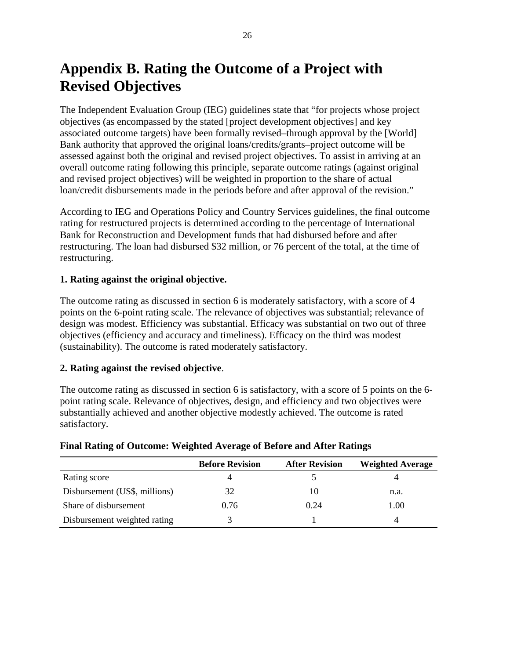## <span id="page-39-0"></span>**Appendix B. Rating the Outcome of a Project with Revised Objectives**

The Independent Evaluation Group (IEG) guidelines state that "for projects whose project objectives (as encompassed by the stated [project development objectives] and key associated outcome targets) have been formally revised–through approval by the [World] Bank authority that approved the original loans/credits/grants–project outcome will be assessed against both the original and revised project objectives. To assist in arriving at an overall outcome rating following this principle, separate outcome ratings (against original and revised project objectives) will be weighted in proportion to the share of actual loan/credit disbursements made in the periods before and after approval of the revision."

According to IEG and Operations Policy and Country Services guidelines, the final outcome rating for restructured projects is determined according to the percentage of International Bank for Reconstruction and Development funds that had disbursed before and after restructuring. The loan had disbursed \$32 million, or 76 percent of the total, at the time of restructuring.

#### **1. Rating against the original objective.**

The outcome rating as discussed in section 6 is moderately satisfactory, with a score of 4 points on the 6-point rating scale. The relevance of objectives was substantial; relevance of design was modest. Efficiency was substantial. Efficacy was substantial on two out of three objectives (efficiency and accuracy and timeliness). Efficacy on the third was modest (sustainability). The outcome is rated moderately satisfactory.

#### **2. Rating against the revised objective**.

The outcome rating as discussed in section 6 is satisfactory, with a score of 5 points on the 6 point rating scale. Relevance of objectives, design, and efficiency and two objectives were substantially achieved and another objective modestly achieved. The outcome is rated satisfactory.

|                               | <b>Before Revision</b> | <b>After Revision</b> | <b>Weighted Average</b> |
|-------------------------------|------------------------|-----------------------|-------------------------|
| Rating score                  |                        |                       |                         |
| Disbursement (US\$, millions) | 32                     | 10                    | n.a.                    |
| Share of disbursement         | 0.76                   | 0.24                  | 1.00                    |
| Disbursement weighted rating  |                        |                       | 4                       |

#### **Final Rating of Outcome: Weighted Average of Before and After Ratings**